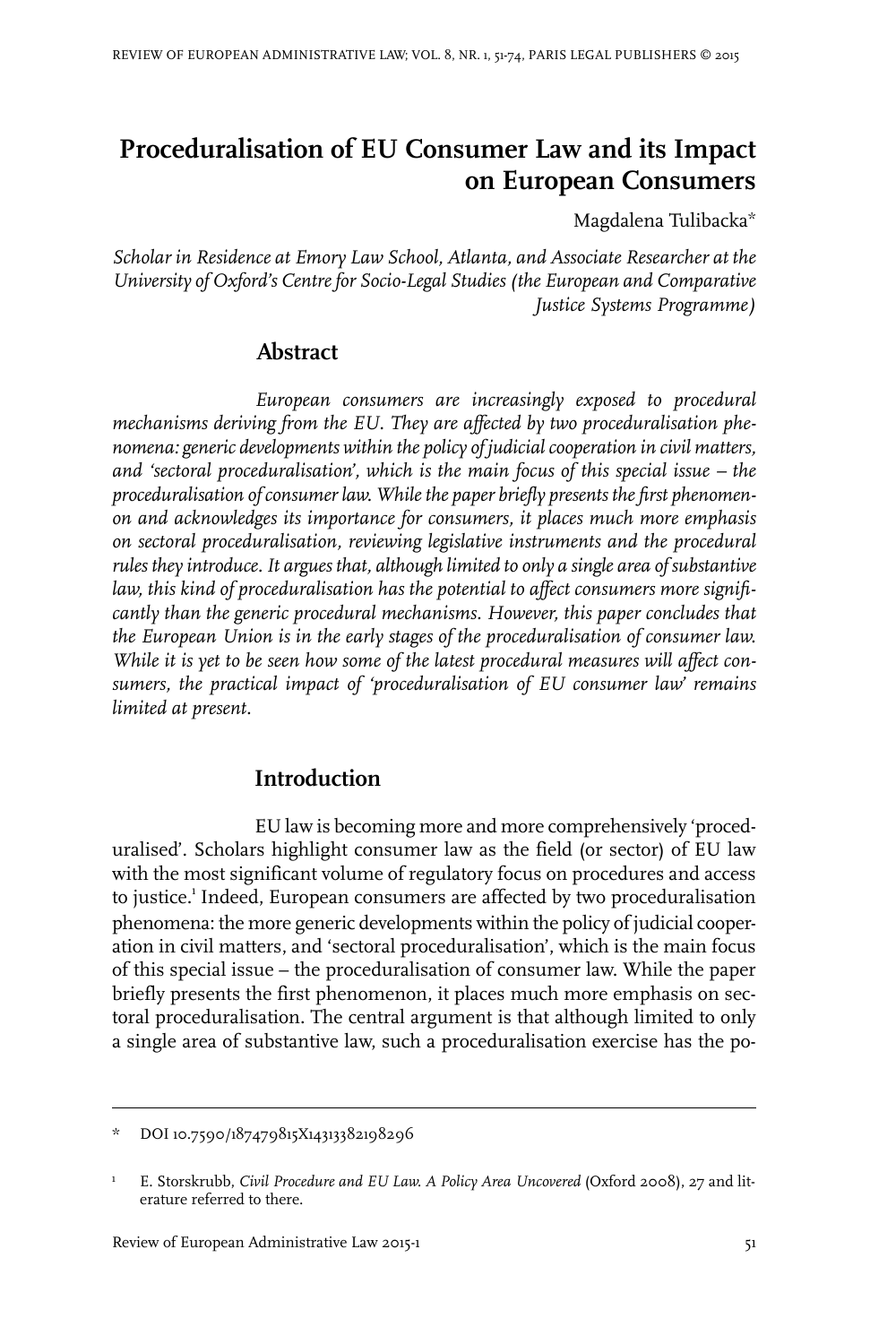# **Proceduralisation of EU Consumer Law and its Impact on European Consumers**

Magdalena Tulibacka\*

*Scholar in Residence at Emory Law School, Atlanta, and Associate Researcher at the University of Oxford's Centrefor Socio-Legal Studies (the European and Comparative Justice Systems Programme)*

# **Abstract**

*European consumers are increasingly exposed to procedural mechanisms deriving from the EU. They are affected by two proceduralisation phenomena: generic developments within the policy of judicialcooperation in civil matters, and 'sectoral proceduralisation', which is the main focus of this special issue – the proceduralisation ofconsumer law. Whilethe paper briefly presents the first phenomenon and acknowledges its importance for consumers, it places much more emphasis on sectoral proceduralisation, reviewing legislative instruments and the procedural rules they introduce.It argues that, although limited to only a single area of substantive law, this kind of proceduralisation has the potential to affect consumers more significantly than the generic procedural mechanisms. However, this paper concludes that the European Union is in the early stages of the proceduralisation of consumer law. While it is yet to be seen how some of the latest procedural measures will affect consumers, the practical impact of 'proceduralisation of EU consumer law' remains limited at present.*

# **Introduction**

EU law is becoming more and more comprehensively 'proceduralised'. Scholars highlight consumer law as the field (or sector) of EU law with the most significant volume of regulatory focus on procedures and access to justice.<sup>1</sup> Indeed, European consumers are affected by two proceduralisation phenomena: the more generic developments within the policy of judicial cooperation in civil matters, and 'sectoral proceduralisation', which is the main focus of this special issue – the proceduralisation of consumer law. While the paper briefly presents the first phenomenon, it places much more emphasis on sectoral proceduralisation. The central argument is that although limited to only a single area of substantive law, such a proceduralisation exercise has the po-

DOI 10.7590/187479815X14313382198296

E. Storskrubb, *Civil Procedure and EU Law. A Policy Area Uncovered* (Oxford 2008), 27 and literature referred to there. 1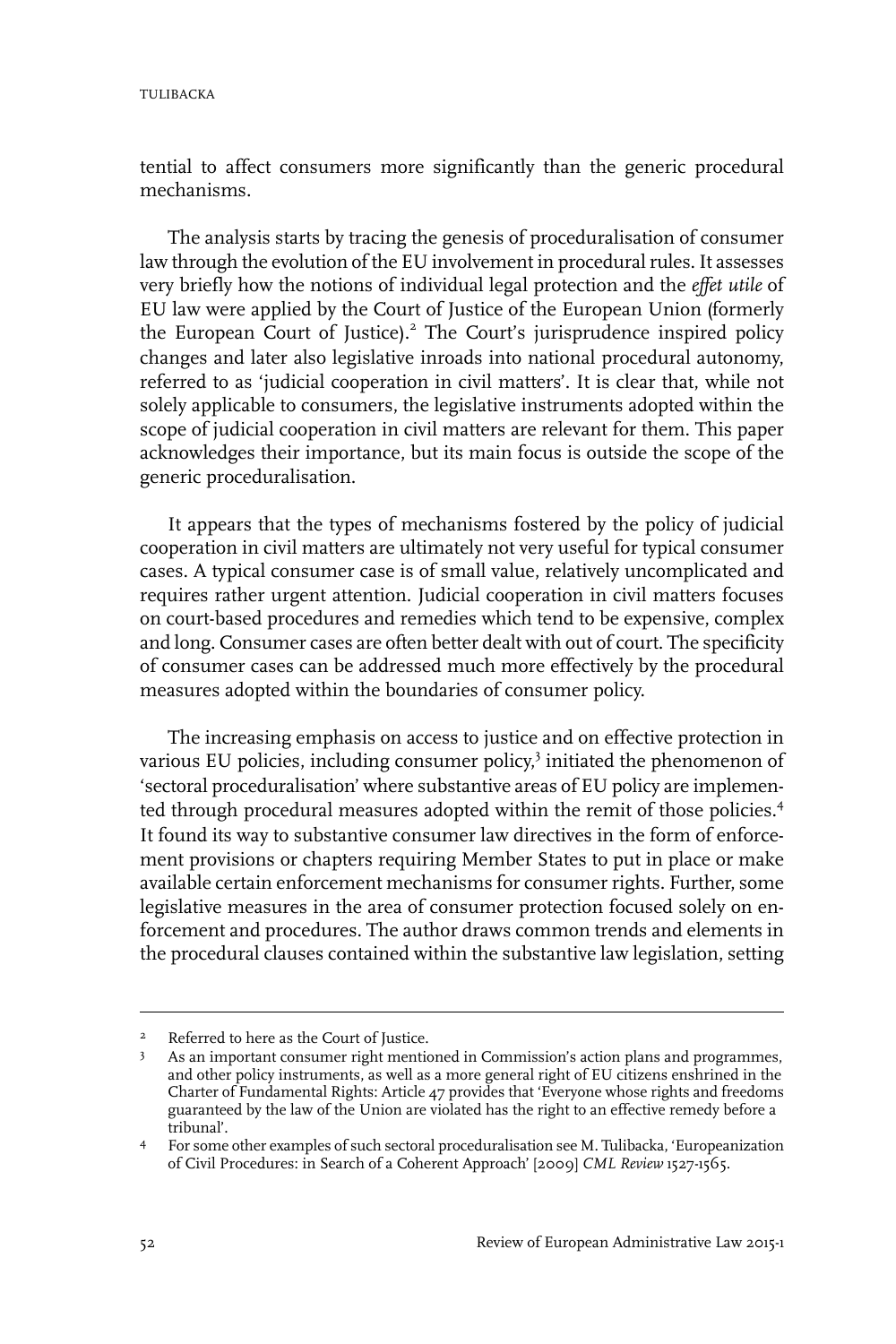tential to affect consumers more significantly than the generic procedural mechanisms.

The analysis starts by tracing the genesis of proceduralisation of consumer law through the evolution of the EU involvement in procedural rules. It assesses very briefly how the notions of individual legal protection and the *effet utile* of EU law were applied by the Court of Justice of the European Union (formerly the European Court of Justice).<sup>2</sup> The Court's jurisprudence inspired policy changes and later also legislative inroads into national procedural autonomy, referred to as 'judicial cooperation in civil matters'. It is clear that, while not solely applicable to consumers, the legislative instruments adopted within the scope of judicial cooperation in civil matters are relevant for them. This paper acknowledges their importance, but its main focus is outside the scope of the generic proceduralisation.

It appears that the types of mechanisms fostered by the policy of judicial cooperation in civil matters are ultimately not very useful for typical consumer cases. A typical consumer case is of small value, relatively uncomplicated and requires rather urgent attention. Judicial cooperation in civil matters focuses on court-based procedures and remedies which tend to be expensive, complex and long. Consumer cases are often better dealt with out of court. The specificity of consumer cases can be addressed much more effectively by the procedural measures adopted within the boundaries of consumer policy.

The increasing emphasis on access to justice and on effective protection in various EU policies, including consumer policy,<sup>3</sup> initiated the phenomenon of 'sectoral proceduralisation' where substantive areas of EU policy are implemented through procedural measures adopted within the remit of those policies.<sup>4</sup> It found its way to substantive consumer law directives in the form of enforcement provisions or chapters requiring Member States to put in place or make available certain enforcement mechanisms for consumer rights. Further, some legislative measures in the area of consumer protection focused solely on enforcement and procedures. The author draws common trends and elements in the procedural clauses contained within the substantive law legislation, setting

Referred to here as the Court of Justice. <sup>2</sup>

As an important consumer right mentioned in Commission's action plans and programmes, and other policy instruments, as well as a more general right of EU citizens enshrined in the 3 Charter of Fundamental Rights: Article 47 provides that 'Everyone whose rights and freedoms guaranteed by the law of the Union are violated has the right to an effective remedy before a tribunal'.

For some other examples of such sectoral proceduralisation see M. Tulibacka, 'Europeanization of Civil Procedures: in Search of a Coherent Approach' [2009] *CML Review* 1527-1565. 4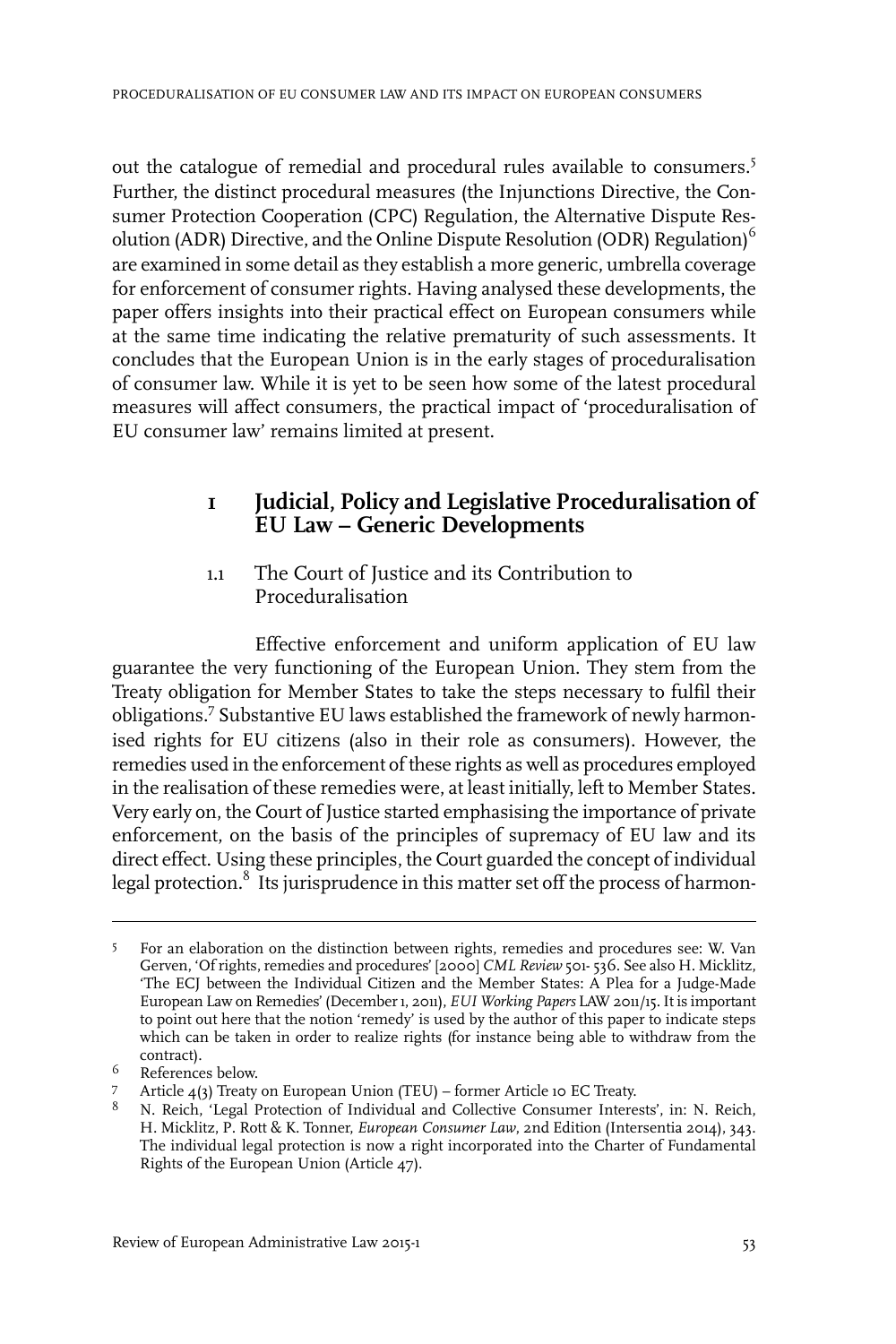out the catalogue of remedial and procedural rules available to consumers.<sup>5</sup> Further, the distinct procedural measures (the Injunctions Directive, the Consumer Protection Cooperation (CPC) Regulation, the Alternative Dispute Resolution (ADR) Directive, and the Online Dispute Resolution (ODR) Regulation)<sup>6</sup> are examined in some detail as they establish a more generic, umbrella coverage for enforcement of consumer rights. Having analysed these developments, the paper offers insights into their practical effect on European consumers while at the same time indicating the relative prematurity of such assessments. It concludes that the European Union is in the early stages of proceduralisation of consumer law. While it is yet to be seen how some of the latest procedural measures will affect consumers, the practical impact of 'proceduralisation of EU consumer law' remains limited at present.

# **1 Judicial, Policy and Legislative Proceduralisation of EU Law – Generic Developments**

1.1 The Court of Justice and its Contribution to Proceduralisation

Effective enforcement and uniform application of EU law guarantee the very functioning of the European Union. They stem from the Treaty obligation for Member States to take the steps necessary to fulfil their obligations.<sup>7</sup> Substantive EU laws established the framework of newly harmonised rights for EU citizens (also in their role as consumers). However, the remedies used in the enforcement of these rights as well as procedures employed in the realisation of these remedies were, at least initially, left to Member States. Very early on, the Court of Justice started emphasising the importance of private enforcement, on the basis of the principles of supremacy of EU law and its direct effect. Using these principles, the Court guarded the concept of individual legal protection.<sup>8</sup> Its jurisprudence in this matter set off the process of harmon-

For an elaboration on the distinction between rights, remedies and procedures see: W. Van Gerven, 'Of rights, remedies and procedures' [2000] *CML Review* 501- 536. See also H. Micklitz, 5 'The ECJ between the Individual Citizen and the Member States: A Plea for a Judge-Made European Law on Remedies' (December1, 2011), *EUI Working Papers* LAW 2011/15.It is important to point out here that the notion 'remedy' is used by the author of this paper to indicate steps which can be taken in order to realize rights (for instance being able to withdraw from the contract).

<sup>&</sup>lt;sup>6</sup> References below.

Article 4(3) Treaty on European Union (TEU) – former Article 10 EC Treaty. 7

<sup>&</sup>lt;sup>8</sup> N. Reich, 'Legal Protection of Individual and Collective Consumer Interests', in: N. Reich, H. Micklitz, P. Rott & K. Tonner, *European Consumer Law*, 2nd Edition (Intersentia 2014), 343. The individual legal protection is now a right incorporated into the Charter of Fundamental Rights of the European Union (Article 47).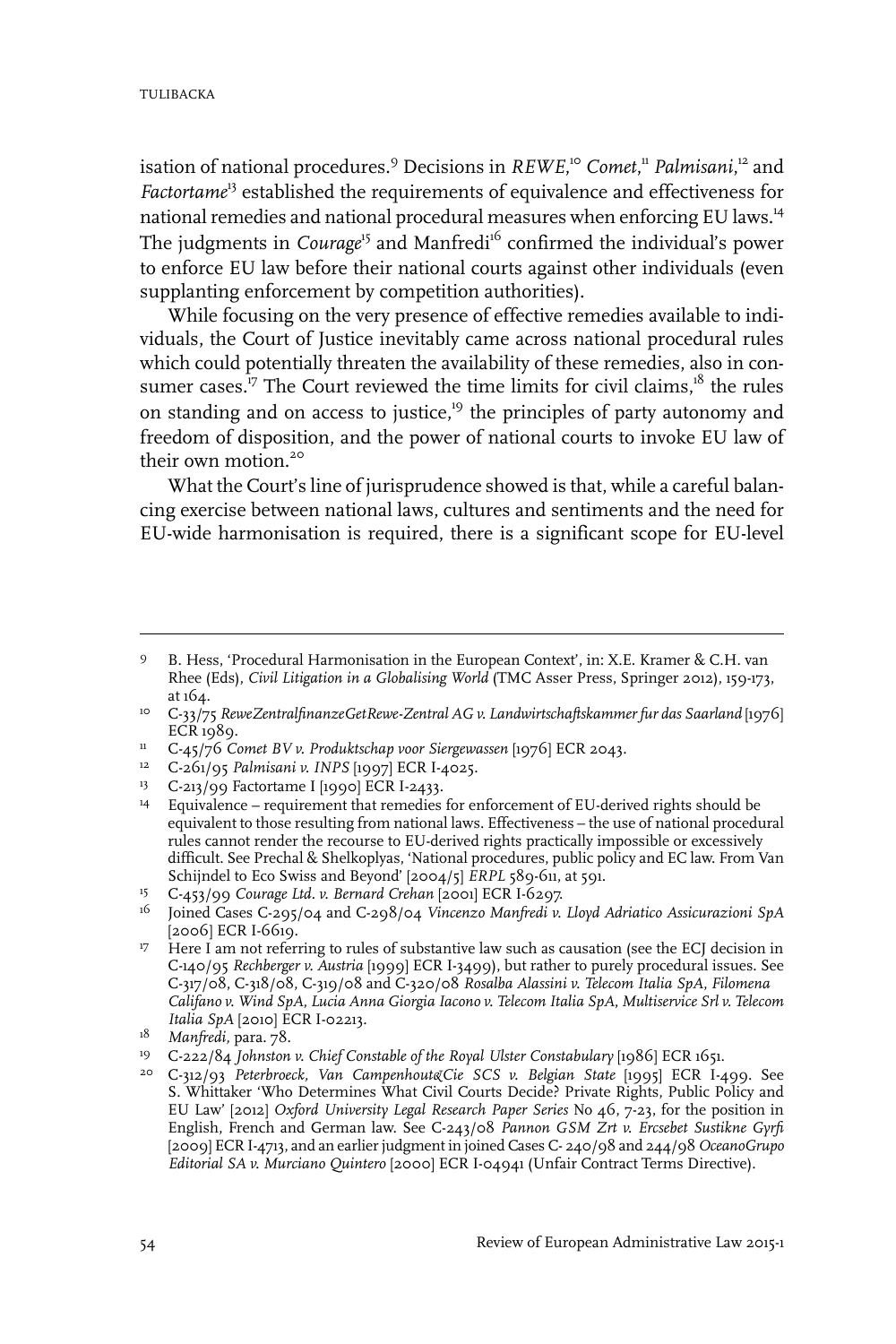isation of national procedures.<sup>9</sup> Decisions in *REWE*, <sup>10</sup> *Comet*, <sup>11</sup> *Palmisani*, <sup>12</sup> and *Factortame*<sup>13</sup> established the requirements of equivalence and effectiveness for national remedies and national procedural measures when enforcing EU laws.<sup>14</sup> The judgments in *Courage*<sup>15</sup> and Manfredi<sup>16</sup> confirmed the individual's power to enforce EU law before their national courts against other individuals (even supplanting enforcement by competition authorities).

While focusing on the very presence of effective remedies available to individuals, the Court of Justice inevitably came across national procedural rules which could potentially threaten the availability of these remedies, also in consumer cases.<sup>17</sup> The Court reviewed the time limits for civil claims,<sup>18</sup> the rules on standing and on access to justice,<sup>19</sup> the principles of party autonomy and freedom of disposition, and the power of national courts to invoke EU law of their own motion.<sup>20</sup>

What the Court's line of jurisprudence showed is that, while a careful balancing exercise between national laws, cultures and sentiments and the need for EU-wide harmonisation is required, there is a significant scope for EU-level

<sup>13</sup> C-213/99 Factortame I [1990] ECR I-2433.

B. Hess, 'Procedural Harmonisation in the European Context', in: X.E. Kramer & C.H. van Rhee (Eds), *Civil Litigation in a Globalising World* (TMC Asser Press, Springer 2012), 159-173, at 164. 9

C-33/75 *ReweZentralfinanzeGetRewe-Zentral AG v. Landwirtschaftskammer fur das Saarland* [1976] 10  $ECR$  1989.

<sup>&</sup>lt;sup>11</sup> C-45/76 *Comet BV v. Produktschap voor Siergewassen* [1976] ECR 2043.

<sup>&</sup>lt;sup>12</sup> C-261/95 *Palmisani v. INPS* [1997] ECR I-4025.

 $^{14}$  Equivalence – requirement that remedies for enforcement of EU-derived rights should be equivalent to those resulting from national laws. Effectiveness – the use of national procedural rules cannot render the recourse to EU-derived rights practically impossible or excessively difficult. See Prechal & Shelkoplyas, 'National procedures, public policy and EC law. From Van Schijndel to Eco Swiss and Beyond' [2004/5] *ERPL* 589-611, at 591.

C-453/99 *Courage Ltd. v. Bernard Crehan* [2001] ECR I-6297. 15

Joined Cases C-295/04 and C-298/04 *Vincenzo Manfredi v. Lloyd Adriatico Assicurazioni SpA* 16  $[2006]$  ECR I-6619.

<sup>&</sup>lt;sup>17</sup> Here I am not referring to rules of substantive law such as causation (see the ECJ decision in C-140/95 *Rechberger v. Austria* [1999] ECR I-3499), but rather to purely procedural issues. See C-317/08, C-318/08, C-319/08 and C-320/08 *Rosalba Alassini v. Telecom Italia SpA*, *Filomena Califano v. Wind SpA*, *Lucia Anna Giorgia Iacono v. Telecom Italia SpA*, *Multiservice Srl v. Telecom Italia SpA* [2010] ECR I-02213.

<sup>&</sup>lt;sup>18</sup> Manfredi, para. 78.

C-222/84 *Johnston v. Chief Constable of the Royal Ulster Constabulary* [1986] ECR 1651. <sup>19</sup>

C-312/93 *Peterbroeck, Van Campenhout&Cie SCS v. Belgian State* [1995] ECR I-499. See 20 S. Whittaker 'Who Determines What Civil Courts Decide? Private Rights, Public Policy and EU Law' [2012] *Oxford University Legal Research Paper Series* No 46, 7-23, for the position in English, French and German law. See C-243/08 *Pannon GSM Zrt v. Ercsebet Sustikne Gyrfi* [2009] ECR I-4713, and an earlierjudgment in joined Cases C- 240/98 and 244/98 *OceanoGrupo Editorial SA v. Murciano Quintero* [2000] ECR I-04941 (Unfair Contract Terms Directive).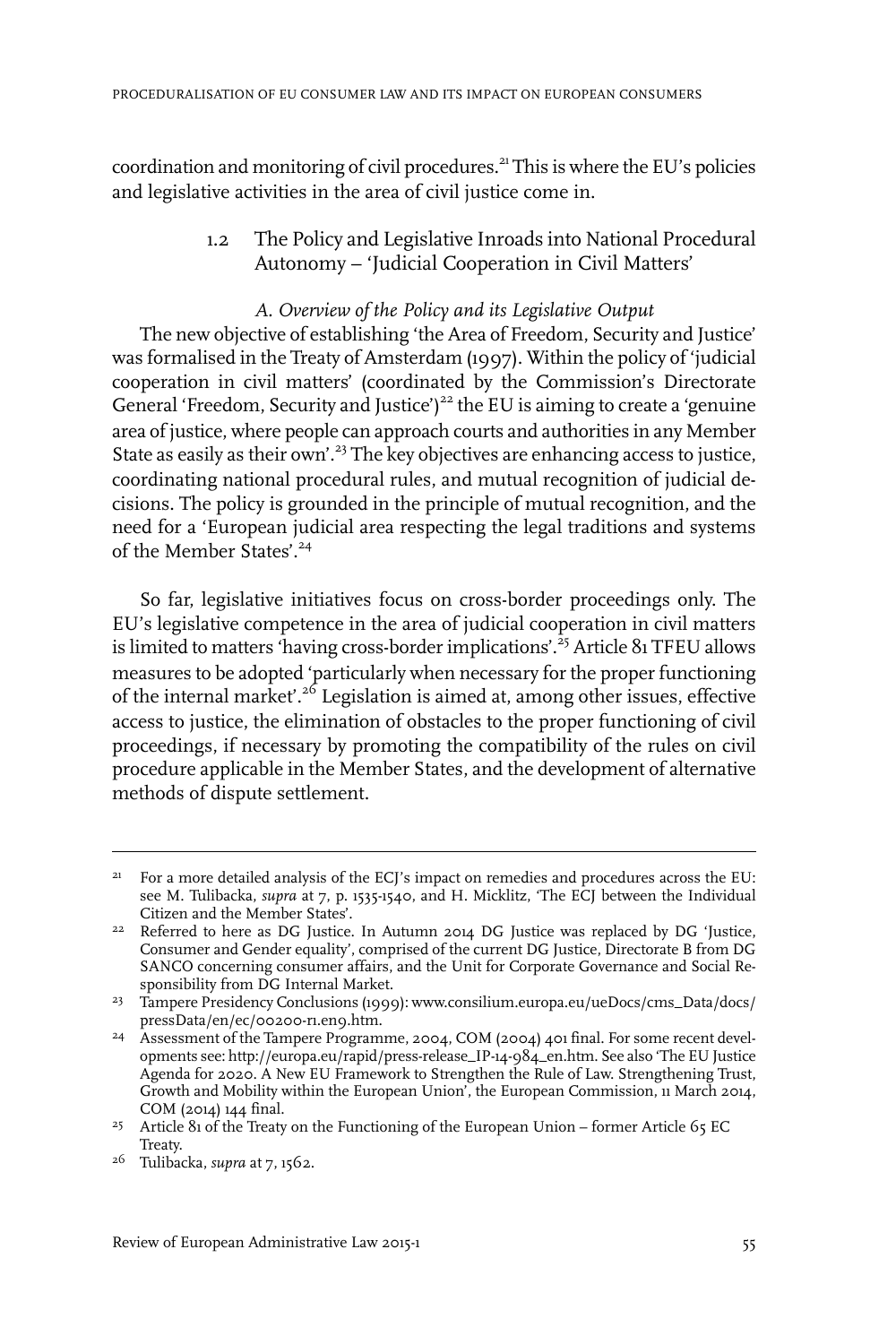coordination and monitoring of civil procedures.<sup>21</sup> This is where the EU's policies and legislative activities in the area of civil justice come in.

> 1.2 The Policy and Legislative Inroads into National Procedural Autonomy – 'Judicial Cooperation in Civil Matters'

#### *A. Overview of the Policy and its Legislative Output*

The new objective of establishing 'the Area of Freedom, Security and Justice' was formalised in the Treaty of Amsterdam (1997). Within the policy of 'judicial cooperation in civil matters' (coordinated by the Commission's Directorate General 'Freedom, Security and Justice')<sup>22</sup> the EU is aiming to create a 'genuine area of justice, where people can approach courts and authorities in any Member State as easily as their own'.<sup>23</sup> The key objectives are enhancing access to justice, coordinating national procedural rules, and mutual recognition of judicial decisions. The policy is grounded in the principle of mutual recognition, and the need for a 'European judicial area respecting the legal traditions and systems of the Member States'.<sup>24</sup>

So far, legislative initiatives focus on cross-border proceedings only. The EU's legislative competence in the area of judicial cooperation in civil matters is limited to matters 'having cross-border implications'.<sup>25</sup> Article 81 TFEU allows measures to be adopted 'particularly when necessary for the proper functioning of the internal market'.<sup>26</sup> Legislation is aimed at, among other issues, effective access to justice, the elimination of obstacles to the proper functioning of civil proceedings, if necessary by promoting the compatibility of the rules on civil procedure applicable in the Member States, and the development of alternative methods of dispute settlement.

<sup>&</sup>lt;sup>21</sup> For a more detailed analysis of the ECJ's impact on remedies and procedures across the EU: see M. Tulibacka, *supra* at 7, p. 1535-1540, and H. Micklitz, 'The ECJ between the Individual Citizen and the Member States'.

 $22$  Referred to here as DG Justice. In Autumn 2014 DG Justice was replaced by DG 'Justice, Consumer and Gender equality', comprised of the current DG Justice, Directorate B from DG SANCO concerning consumer affairs, and the Unit for Corporate Governance and Social Responsibility from DG Internal Market.

<sup>&</sup>lt;sup>23</sup> Tampere Presidency Conclusions (1999): www.consilium.europa.eu/ueDocs/cms\_Data/docs/ pressData/en/ec/00200-r1.en9.htm.

<sup>&</sup>lt;sup>24</sup> Assessment of the Tampere Programme, 2004, COM (2004) 401 final. For some recent developments see: http://europa.eu/rapid/press-release\_IP-14-984\_en.htm. See also 'The EU Justice Agenda for 2020. A New EU Framework to Strengthen the Rule of Law. Strengthening Trust, Growth and Mobility within the European Union', the European Commission, 11 March 2014, COM (2014) 144 final.

<sup>&</sup>lt;sup>25</sup> Article 81 of the Treaty on the Functioning of the European Union – former Article 65 EC Treaty.

<sup>&</sup>lt;sup>26</sup> Tulibacka, *supra* at 7, 1562.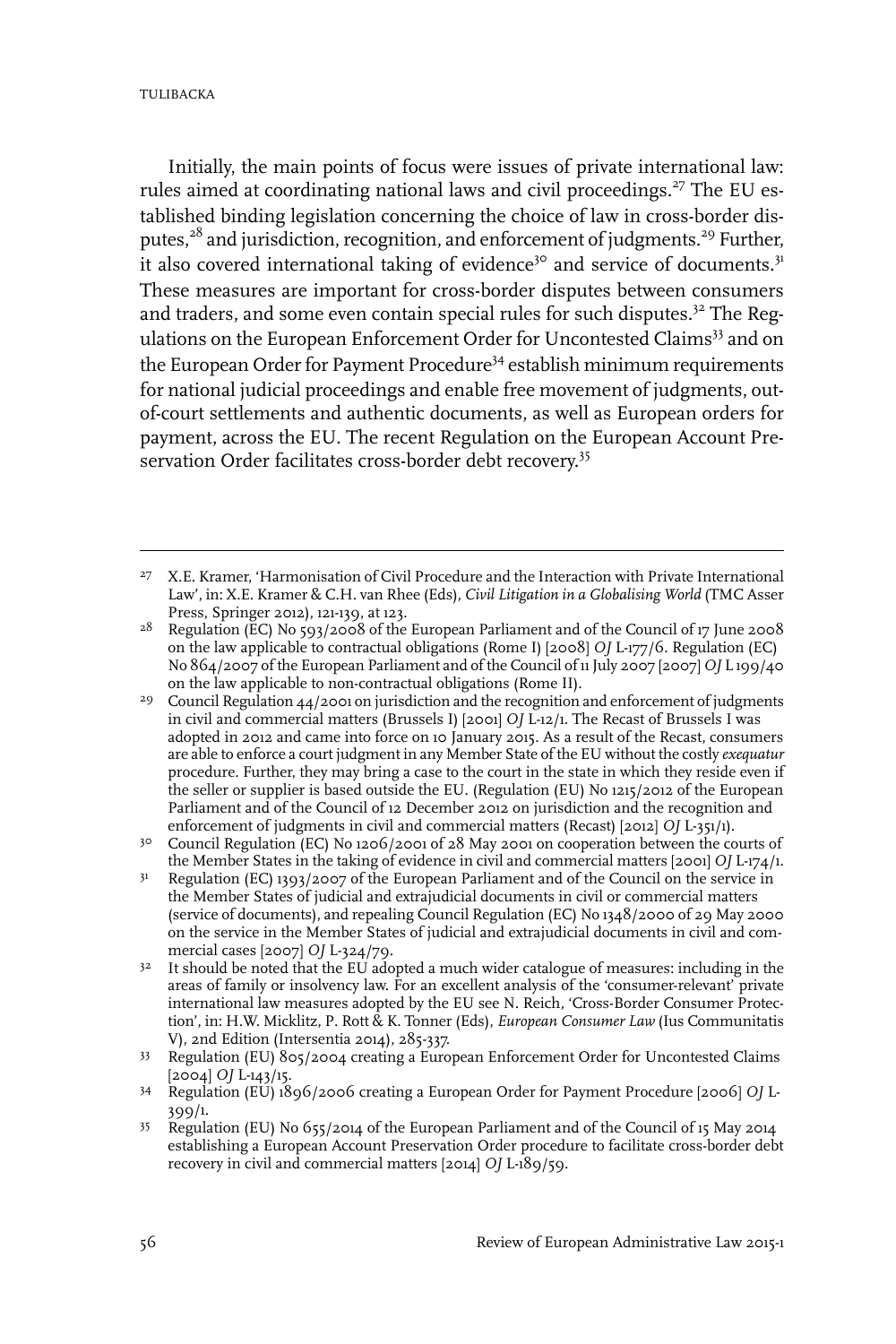TULIBACKA

Initially, the main points of focus were issues of private international law: rules aimed at coordinating national laws and civil proceedings.<sup>27</sup> The EU established binding legislation concerning the choice of law in cross-border disputes, $28$  and jurisdiction, recognition, and enforcement of judgments.<sup>29</sup> Further, it also covered international taking of evidence<sup>30</sup> and service of documents.<sup>31</sup> These measures are important for cross-border disputes between consumers and traders, and some even contain special rules for such disputes.<sup>32</sup> The Regulations on the European Enforcement Order for Uncontested Claims<sup>33</sup> and on the European Order for Payment Procedure<sup>34</sup> establish minimum requirements for national judicial proceedings and enable free movement of judgments, outof-court settlements and authentic documents, as well as European orders for payment, across the EU. The recent Regulation on the European Account Preservation Order facilitates cross-border debt recovery.<sup>35</sup>

<sup>&</sup>lt;sup>27</sup> X.E. Kramer, 'Harmonisation of Civil Procedure and the Interaction with Private International Law', in: X.E. Kramer & C.H. van Rhee (Eds), *Civil Litigation in a Globalising World* (TMC Asser Press, Springer 2012), 121-139, at 123.

<sup>&</sup>lt;sup>28</sup> Regulation (EC) No 593/2008 of the European Parliament and of the Council of 17 June 2008 on the law applicable to contractual obligations (Rome I) [2008] *OJ* L-177/6. Regulation (EC) No 864/2007 of the European Parliament and of the Council of 11 July 2007 [2007] *OJ* L 199/40 on the law applicable to non-contractual obligations (Rome II).

<sup>&</sup>lt;sup>29</sup> Council Regulation  $44/2$  oo in jurisdiction and the recognition and enforcement of judgments in civil and commercial matters (Brussels I) [2001] *OJ* L-12/1. The Recast of Brussels I was adopted in 2012 and came into force on 10 January 2015. As a result of the Recast, consumers are able to enforce a court judgment in any Member State of the EU without the costly *exequatur* procedure. Further, they may bring a case to the court in the state in which they reside even if the seller or supplier is based outside the EU. (Regulation (EU) No 1215/2012 of the European Parliament and of the Council of 12 December 2012 on jurisdiction and the recognition and enforcement of judgments in civil and commercial matters (Recast) [2012] *OJ* L-351/1).

Council Regulation (EC) No 1206/2001 of 28 May 2001 on cooperation between the courts of 30 the Member States in the taking of evidence in civil and commercial matters [2001] *OJ* L-174/1.

Regulation (EC) 1393/2007 of the European Parliament and of the Council on the service in the Member States of judicial and extrajudicial documents in civil or commercial matters 31 (service of documents), and repealing Council Regulation (EC) No 1348/2000 of 29 May 2000 on the service in the Member States of judicial and extrajudicial documents in civil and commercial cases [2007] *OJ* L-324/79.

 $32$  It should be noted that the EU adopted a much wider catalogue of measures: including in the areas of family or insolvency law. For an excellent analysis of the 'consumer-relevant' private international law measures adopted by the EU see N. Reich, 'Cross-Border Consumer Protection', in: H.W. Micklitz, P. Rott & K. Tonner (Eds), *European Consumer Law* (Ius Communitatis V), 2nd Edition (Intersentia 2014), 285-337.

Regulation (EU) 805/2004 creating a European Enforcement Order for Uncontested Claims [2004] *OJ* L-143/15. 33

Regulation (EU) 1896/2006 creating a European Order for Payment Procedure [2006] *OJ* L-34 399/1.

Regulation (EU) No 655/2014 of the European Parliament and of the Council of 15 May 2014 establishing a European Account Preservation Order procedure to facilitate cross-border debt recovery in civil and commercial matters [2014] *OJ* L-189/59. 35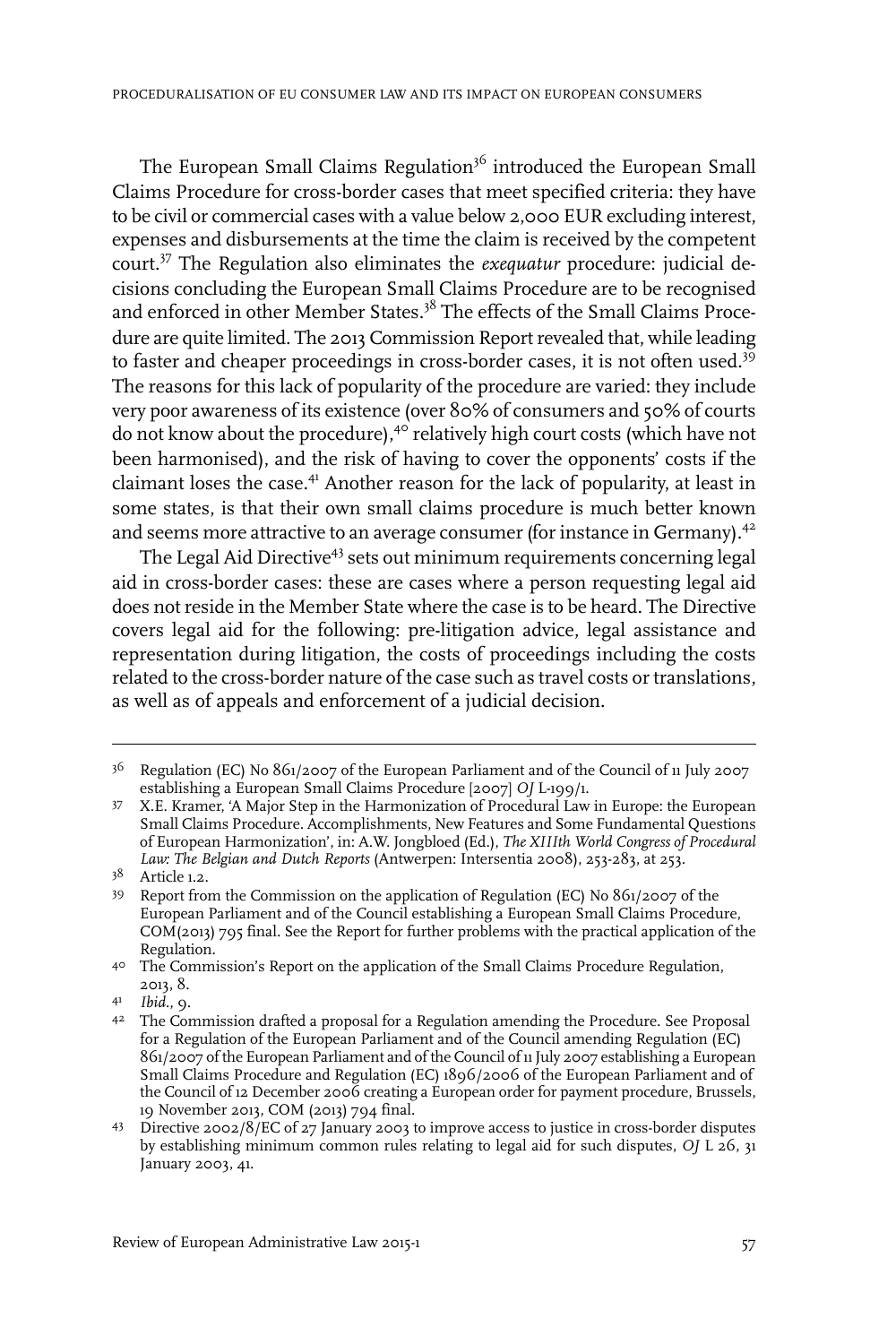The European Small Claims Regulation<sup>36</sup> introduced the European Small Claims Procedure for cross-border cases that meet specified criteria: they have to be civil or commercial cases with a value below 2,000 EUR excluding interest, expenses and disbursements at the time the claim is received by the competent court.<sup>37</sup> The Regulation also eliminates the *exequatur* procedure: judicial decisions concluding the European Small Claims Procedure are to be recognised and enforced in other Member States.<sup>38</sup> The effects of the Small Claims Procedure are quite limited. The 2013 Commission Report revealed that, while leading to faster and cheaper proceedings in cross-border cases, it is not often used.<sup>39</sup> The reasons for this lack of popularity of the procedure are varied: they include very poor awareness of its existence (over 80% of consumers and 50% of courts do not know about the procedure),<sup>40</sup> relatively high court costs (which have not been harmonised), and the risk of having to cover the opponents' costs if the claimant loses the case.<sup>41</sup> Another reason for the lack of popularity, at least in some states, is that their own small claims procedure is much better known and seems more attractive to an average consumer (for instance in Germany).<sup>42</sup>

The Legal Aid Directive<sup>43</sup> sets out minimum requirements concerning legal aid in cross-border cases: these are cases where a person requesting legal aid does not reside in the Member State where the case is to be heard. The Directive covers legal aid for the following: pre-litigation advice, legal assistance and representation during litigation, the costs of proceedings including the costs related to the cross-border nature of the case such as travel costs or translations, as well as of appeals and enforcement of a judicial decision.

 $^{36}$  Regulation (EC) No  $86$ 1/2007 of the European Parliament and of the Council of 11 July 2007 establishing a European Small Claims Procedure [2007] *OJ* L-199/1.

X.E. Kramer, 'A Major Step in the Harmonization of Procedural Law in Europe: the European 37 Small Claims Procedure. Accomplishments, New Features and Some Fundamental Questions of European Harmonization', in: A.W. Jongbloed (Ed.), *The XIIIth World Congress of Procedural Law: The Belgian and Dutch Reports* (Antwerpen:Intersentia 2008), 253-283, at 253.

Article 1.2. <sup>38</sup>

<sup>39</sup> Report from the Commission on the application of Regulation (EC) No 861/2007 of the European Parliament and of the Council establishing a European Small Claims Procedure, COM(2013) 795 final. See the Report for further problems with the practical application of the Regulation.

<sup>&</sup>lt;sup>40</sup> The Commission's Report on the application of the Small Claims Procedure Regulation, 2013, 8.

*Ibid.*, 9. <sup>41</sup>

The Commission drafted a proposal for a Regulation amending the Procedure. See Proposal 42 for a Regulation of the European Parliament and of the Council amending Regulation (EC) 861/2007 of the European Parliament and of the Council of 11July 2007 establishing a European Small Claims Procedure and Regulation (EC) 1896/2006 of the European Parliament and of the Council of 12 December 2006 creating a European order for payment procedure, Brussels, 19 November 2013, COM (2013) 794 final.

Directive 2002/8/EC of 27 January 2003 to improve access to justice in cross-border disputes 43 by establishing minimum common rules relating to legal aid for such disputes, *OJ* L 26, 31 January 2003, 41.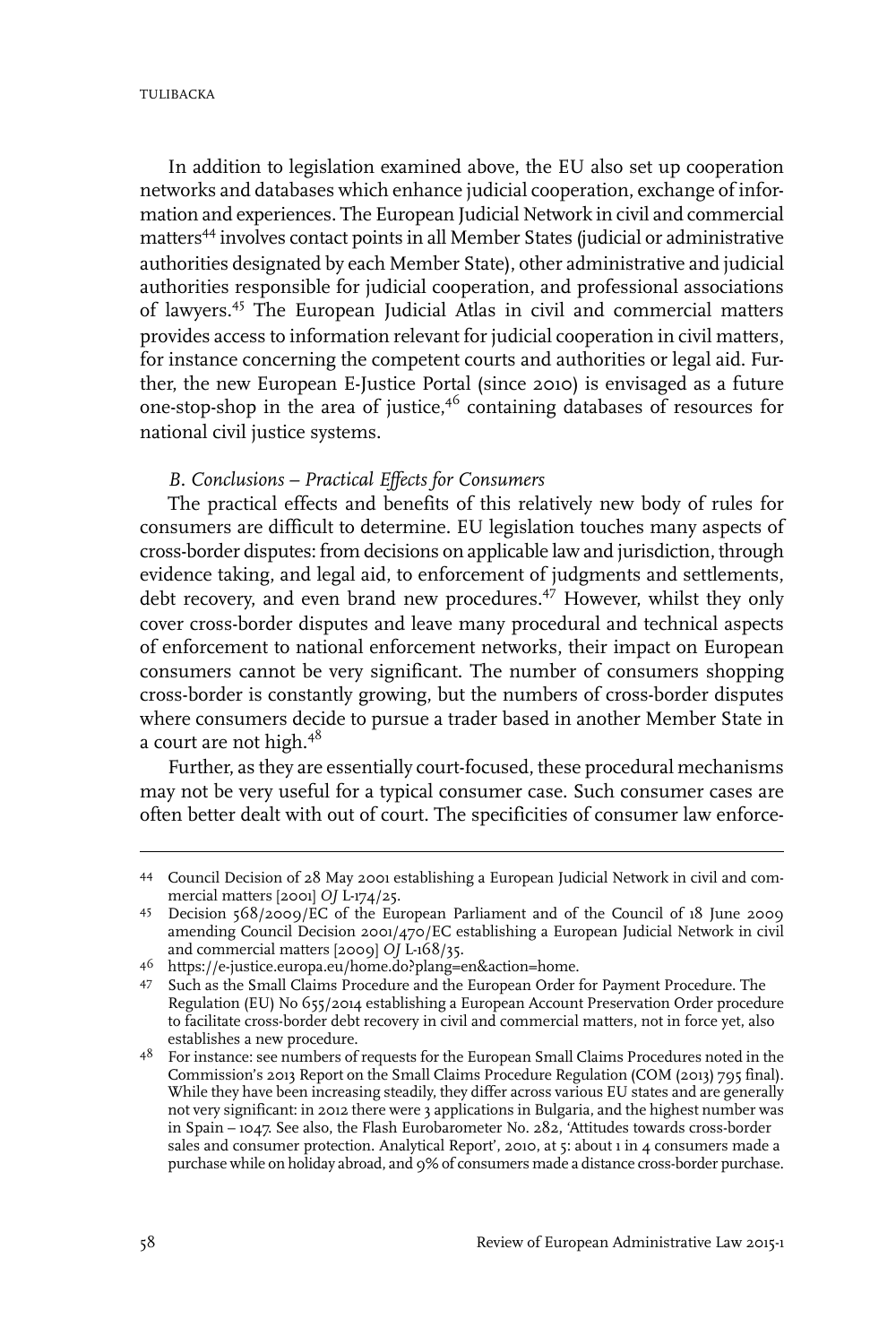In addition to legislation examined above, the EU also set up cooperation networks and databases which enhance judicial cooperation, exchange of information and experiences. The European Judicial Network in civil and commercial matters<sup>44</sup> involves contact points in all Member States (judicial or administrative authorities designated by each Member State), other administrative and judicial authorities responsible for judicial cooperation, and professional associations of lawyers.<sup>45</sup> The European Judicial Atlas in civil and commercial matters provides access to information relevant for judicial cooperation in civil matters, for instance concerning the competent courts and authorities or legal aid. Further, the new European E-Justice Portal (since 2010) is envisaged as a future one-stop-shop in the area of justice,<sup>46</sup> containing databases of resources for national civil justice systems.

#### *B. Conclusions – Practical Effects for Consumers*

The practical effects and benefits of this relatively new body of rules for consumers are difficult to determine. EU legislation touches many aspects of cross-border disputes: from decisions on applicable law and jurisdiction, through evidence taking, and legal aid, to enforcement of judgments and settlements, debt recovery, and even brand new procedures.<sup>47</sup> However, whilst they only cover cross-border disputes and leave many procedural and technical aspects of enforcement to national enforcement networks, their impact on European consumers cannot be very significant. The number of consumers shopping cross-border is constantly growing, but the numbers of cross-border disputes where consumers decide to pursue a trader based in another Member State in a court are not high.<sup>48</sup>

Further, as they are essentially court-focused, these procedural mechanisms may not be very useful for a typical consumer case. Such consumer cases are often better dealt with out of court. The specificities of consumer law enforce-

Council Decision of 28 May 2001 establishing a European Judicial Network in civil and com-44 mercial matters [2001] *OJ* L-174/25.

Decision 568/2009/EC of the European Parliament and of the Council of 18 June 2009 45 amending Council Decision 2001/470/EC establishing a European Judicial Network in civil and commercial matters [2009] *OJ* L-168/35.

https://e-justice.europa.eu/home.do?plang=en&action=home. <sup>46</sup>

<sup>47</sup> Such as the Small Claims Procedure and the European Order for Payment Procedure. The Regulation (EU) No 655/2014 establishing a European Account Preservation Order procedure to facilitate cross-border debt recovery in civil and commercial matters, not in force yet, also establishes a new procedure.

<sup>&</sup>lt;sup>48</sup> For instance: see numbers of requests for the European Small Claims Procedures noted in the Commission's 2013 Report on the Small Claims Procedure Regulation (COM (2013) 795 final). While they have been increasing steadily, they differ across various EU states and are generally not very significant: in 2012 there were 3 applications in Bulgaria, and the highest number was in Spain – 1047. See also, the Flash Eurobarometer No. 282, 'Attitudes towards cross-border sales and consumer protection. Analytical Report', 2010, at 5: about 1 in 4 consumers made a purchase while on holiday abroad, and 9% of consumers made a distance cross-border purchase.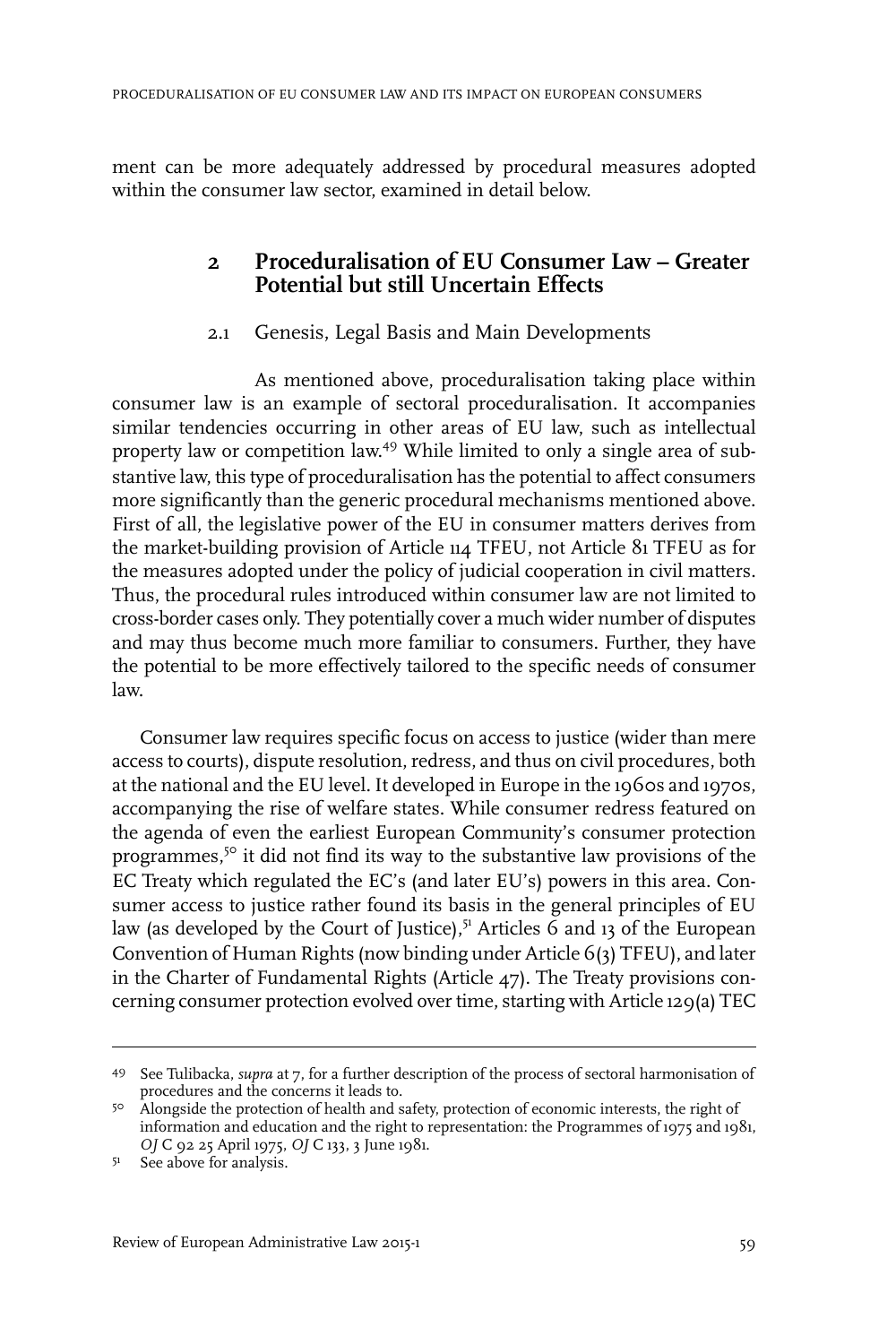ment can be more adequately addressed by procedural measures adopted within the consumer law sector, examined in detail below.

### **2 Proceduralisation of EU Consumer Law – Greater Potential but still Uncertain Effects**

#### 2.1 Genesis, Legal Basis and Main Developments

As mentioned above, proceduralisation taking place within consumer law is an example of sectoral proceduralisation. It accompanies similar tendencies occurring in other areas of EU law, such as intellectual property law or competition law. <sup>49</sup> While limited to only a single area of substantive law, this type of proceduralisation has the potential to affect consumers more significantly than the generic procedural mechanisms mentioned above. First of all, the legislative power of the EU in consumer matters derives from the market-building provision of Article 114 TFEU, not Article 81 TFEU as for the measures adopted under the policy of judicial cooperation in civil matters. Thus, the procedural rules introduced within consumer law are not limited to cross-border cases only. They potentially cover a much wider number of disputes and may thus become much more familiar to consumers. Further, they have the potential to be more effectively tailored to the specific needs of consumer law.

Consumer law requires specific focus on access to justice (wider than mere access to courts), dispute resolution, redress, and thus on civil procedures, both at the national and the EU level. It developed in Europe in the 1960s and 1970s, accompanying the rise of welfare states. While consumer redress featured on the agenda of even the earliest European Community's consumer protection programmes,<sup>50</sup> it did not find its way to the substantive law provisions of the EC Treaty which regulated the EC's (and later EU's) powers in this area. Consumer access to justice rather found its basis in the general principles of EU law (as developed by the Court of Justice), $5<sup>1</sup>$  Articles 6 and 13 of the European Convention of Human Rights (now binding under Article 6(3) TFEU), and later in the Charter of Fundamental Rights (Article 47). The Treaty provisions concerning consumer protection evolved overtime, starting with Article 129(a) TEC

<sup>49</sup> See Tulibacka, *supra* at 7, for a further description of the process of sectoral harmonisation of procedures and the concerns it leads to.

<sup>&</sup>lt;sup>50</sup> Alongside the protection of health and safety, protection of economic interests, the right of information and education and the right to representation: the Programmes of 1975 and 1981, *OJ* C 92 25 April 1975, *OJ* C 133, 3 June 1981.

<sup>51</sup> See above for analysis.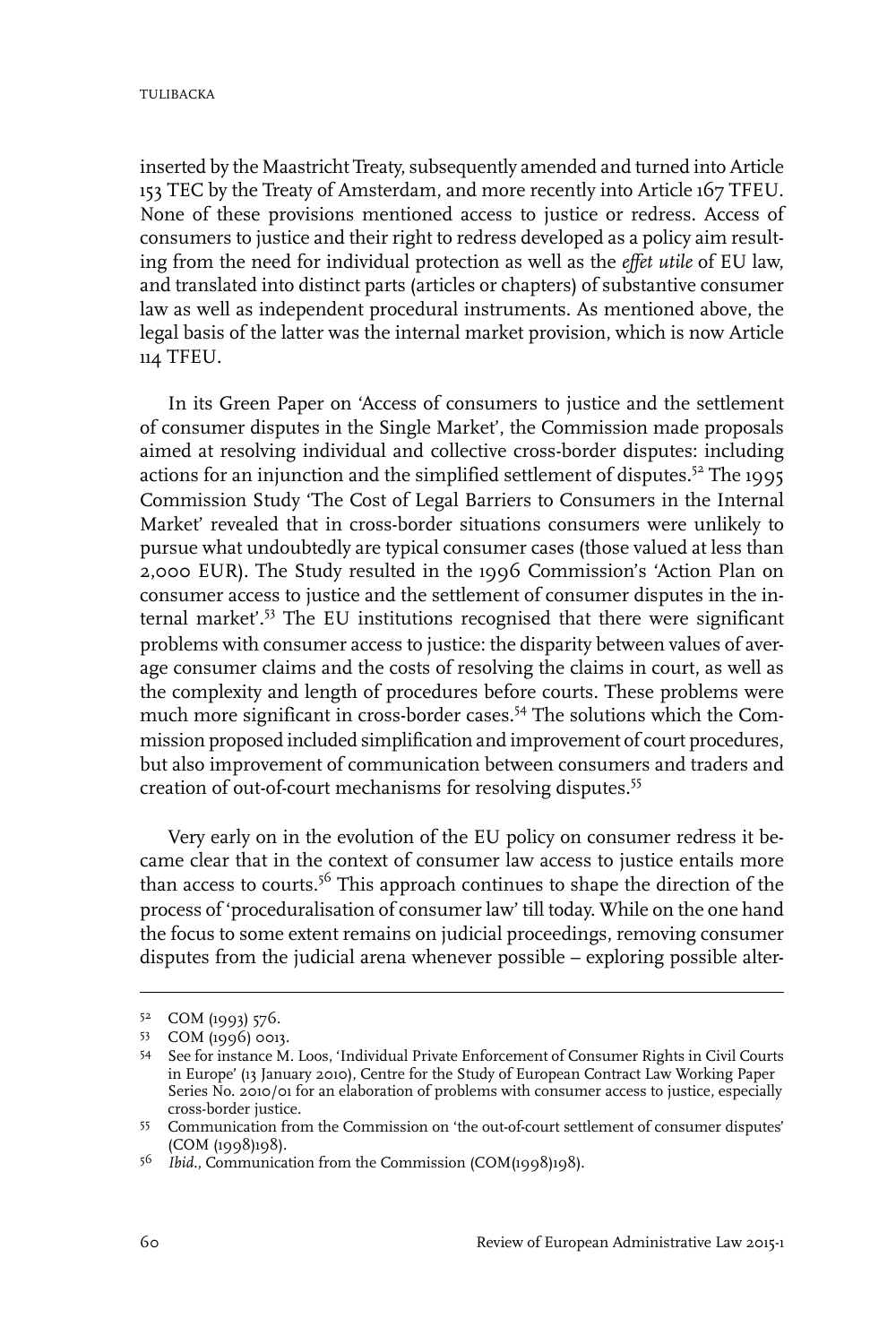inserted by the Maastricht Treaty, subsequently amended and turned into Article 153 TEC by the Treaty of Amsterdam, and more recently into Article 167 TFEU. None of these provisions mentioned access to justice or redress. Access of consumers to justice and their right to redress developed as a policy aim resulting from the need for individual protection as well as the *effet utile* of EU law, and translated into distinct parts (articles or chapters) of substantive consumer law as well as independent procedural instruments. As mentioned above, the legal basis of the latter was the internal market provision, which is now Article 114 TFEU.

In its Green Paper on 'Access of consumers to justice and the settlement of consumer disputes in the Single Market', the Commission made proposals aimed at resolving individual and collective cross-border disputes: including actions for an injunction and the simplified settlement of disputes.<sup>52</sup> The 1995 Commission Study 'The Cost of Legal Barriers to Consumers in the Internal Market' revealed that in cross-border situations consumers were unlikely to pursue what undoubtedly are typical consumer cases (those valued at less than 2,000 EUR). The Study resulted in the 1996 Commission's 'Action Plan on consumer access to justice and the settlement of consumer disputes in the internal market'.<sup>53</sup> The EU institutions recognised that there were significant problems with consumer access to justice: the disparity between values of average consumer claims and the costs of resolving the claims in court, as well as the complexity and length of procedures before courts. These problems were much more significant in cross-border cases.<sup>54</sup> The solutions which the Commission proposed included simplification and improvement of court procedures, but also improvement of communication between consumers and traders and creation of out-of-court mechanisms for resolving disputes.<sup>55</sup>

Very early on in the evolution of the EU policy on consumer redress it became clear that in the context of consumer law access to justice entails more than access to courts.<sup>56</sup> This approach continues to shape the direction of the process of 'proceduralisation of consumer law' till today. While on the one hand the focus to some extent remains on judicial proceedings, removing consumer disputes from the judicial arena whenever possible – exploring possible alter-

<sup>5&</sup>lt;sup>2</sup> COM (1993) 576.

<sup>53</sup> COM (1996) 0013.

<sup>54</sup> See for instance M. Loos, 'Individual Private Enforcement of Consumer Rights in Civil Courts in Europe' (13 January 2010), Centre for the Study of European Contract Law Working Paper Series No. 2010/01 for an elaboration of problems with consumer access to justice, especially cross-border justice.

Communication from the Commission on 'the out-of-court settlement of consumer disputes' 55 (COM (1998)198).

*Ibid.*, Communication from the Commission (COM(1998)198). <sup>56</sup>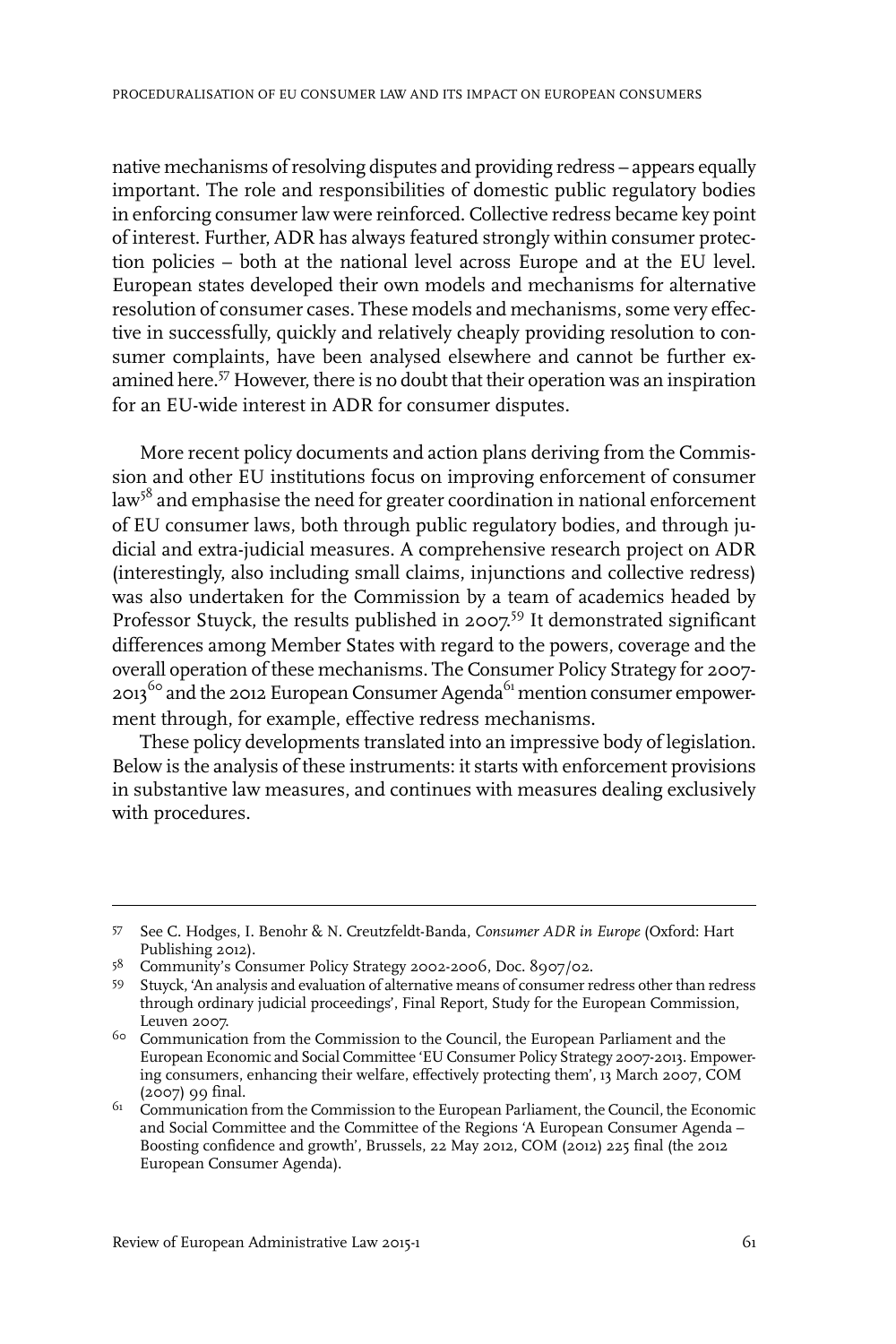native mechanisms of resolving disputes and providing redress – appears equally important. The role and responsibilities of domestic public regulatory bodies in enforcing consumer law were reinforced. Collective redress became key point of interest. Further, ADR has always featured strongly within consumer protection policies – both at the national level across Europe and at the EU level. European states developed their own models and mechanisms for alternative resolution of consumer cases. These models and mechanisms, some very effective in successfully, quickly and relatively cheaply providing resolution to consumer complaints, have been analysed elsewhere and cannot be further examined here.<sup>57</sup> However, there is no doubt that their operation was an inspiration for an EU-wide interest in ADR for consumer disputes.

More recent policy documents and action plans deriving from the Commission and other EU institutions focus on improving enforcement of consumer  $\rm{law}^{58}$  and emphasise the need for greater coordination in national enforcement of EU consumer laws, both through public regulatory bodies, and through judicial and extra-judicial measures. A comprehensive research project on ADR (interestingly, also including small claims, injunctions and collective redress) was also undertaken for the Commission by a team of academics headed by Professor Stuyck, the results published in 2007.<sup>59</sup> It demonstrated significant differences among Member States with regard to the powers, coverage and the overall operation of these mechanisms. The Consumer Policy Strategy for 2007- 2013<sup>60</sup> and the 2012 European Consumer Agenda<sup>61</sup> mention consumer empowerment through, for example, effective redress mechanisms.

These policy developments translated into an impressive body of legislation. Below is the analysis of these instruments: it starts with enforcement provisions in substantive law measures, and continues with measures dealing exclusively with procedures.

<sup>57</sup> See C. Hodges, I. Benohr & N. Creutzfeldt-Banda, *Consumer ADR in Europe* (Oxford: Hart Publishing 2012).

<sup>58</sup> Community's Consumer Policy Strategy 2002-2006, Doc. 8907/02.

<sup>59</sup> Stuyck, 'An analysis and evaluation of alternative means of consumer redress other than redress through ordinary judicial proceedings', Final Report, Study for the European Commission, Leuven 2007.

 $60$  Communication from the Commission to the Council, the European Parliament and the European Economic and Social Committee 'EU Consumer Policy Strategy 2007-2013. Empowering consumers, enhancing their welfare, effectively protecting them', 13 March 2007, COM (2007) 99 final.

 $61$  Communication from the Commission to the European Parliament, the Council, the Economic and Social Committee and the Committee of the Regions 'A European Consumer Agenda – Boosting confidence and growth', Brussels, 22 May 2012, COM (2012) 225 final (the 2012 European Consumer Agenda).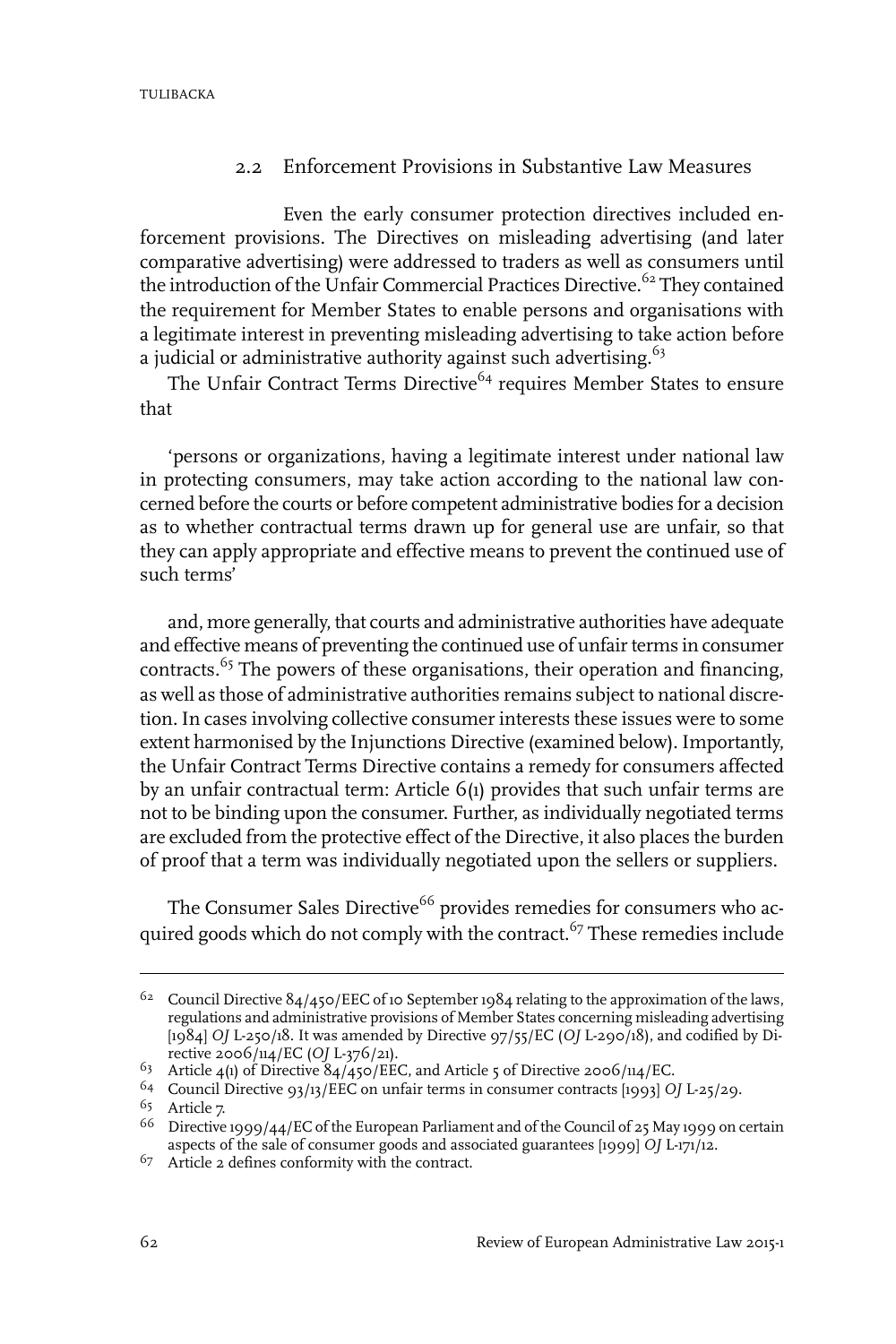#### 2.2 Enforcement Provisions in Substantive Law Measures

Even the early consumer protection directives included enforcement provisions. The Directives on misleading advertising (and later comparative advertising) were addressed to traders as well as consumers until the introduction of the Unfair Commercial Practices Directive.<sup>62</sup> They contained the requirement for Member States to enable persons and organisations with a legitimate interest in preventing misleading advertising to take action before a judicial or administrative authority against such advertising.<sup>63</sup>

The Unfair Contract Terms Directive<sup>64</sup> requires Member States to ensure that

'persons or organizations, having a legitimate interest under national law in protecting consumers, may take action according to the national law concerned before the courts or before competent administrative bodies for a decision as to whether contractual terms drawn up for general use are unfair, so that they can apply appropriate and effective means to prevent the continued use of such terms'

and, more generally, that courts and administrative authorities have adequate and effective means of preventing the continued use of unfair terms in consumer contracts.<sup>65</sup> The powers of these organisations, their operation and financing, as well as those of administrative authorities remains subject to national discretion. In cases involving collective consumer interests these issues were to some extent harmonised by the Injunctions Directive (examined below). Importantly, the Unfair Contract Terms Directive contains a remedy for consumers affected by an unfair contractual term: Article 6(1) provides that such unfair terms are not to be binding upon the consumer. Further, as individually negotiated terms are excluded from the protective effect of the Directive, it also places the burden of proof that a term was individually negotiated upon the sellers or suppliers.

The Consumer Sales Directive<sup>66</sup> provides remedies for consumers who acquired goods which do not comply with the contract.<sup>67</sup> These remedies include

<sup>&</sup>lt;sup>62</sup> Council Directive  $84/45$ o/EEC of 10 September 1984 relating to the approximation of the laws, regulations and administrative provisions of Member States concerning misleading advertising [1984] *OJ* L-250/18.It was amended by Directive 97/55/EC (*OJ* L-290/18), and codified by Directive 2006/114/EC (*OJ* L-376/21).

<sup>&</sup>lt;sup>63</sup> Article 4(1) of Directive  $\frac{84}{45}$  o/EEC, and Article 5 of Directive 2006/114/EC.

<sup>&</sup>lt;sup>64</sup> Council Directive 93/13/EEC on unfair terms in consumer contracts [1993] *OJ* L-25/29.

Article 7. 65

<sup>&</sup>lt;sup>66</sup> Directive 1999/44/EC of the European Parliament and of the Council of 25 May 1999 on certain aspects of the sale of consumer goods and associated guarantees [1999] *OJ* L-171/12.

 $67$  Article 2 defines conformity with the contract.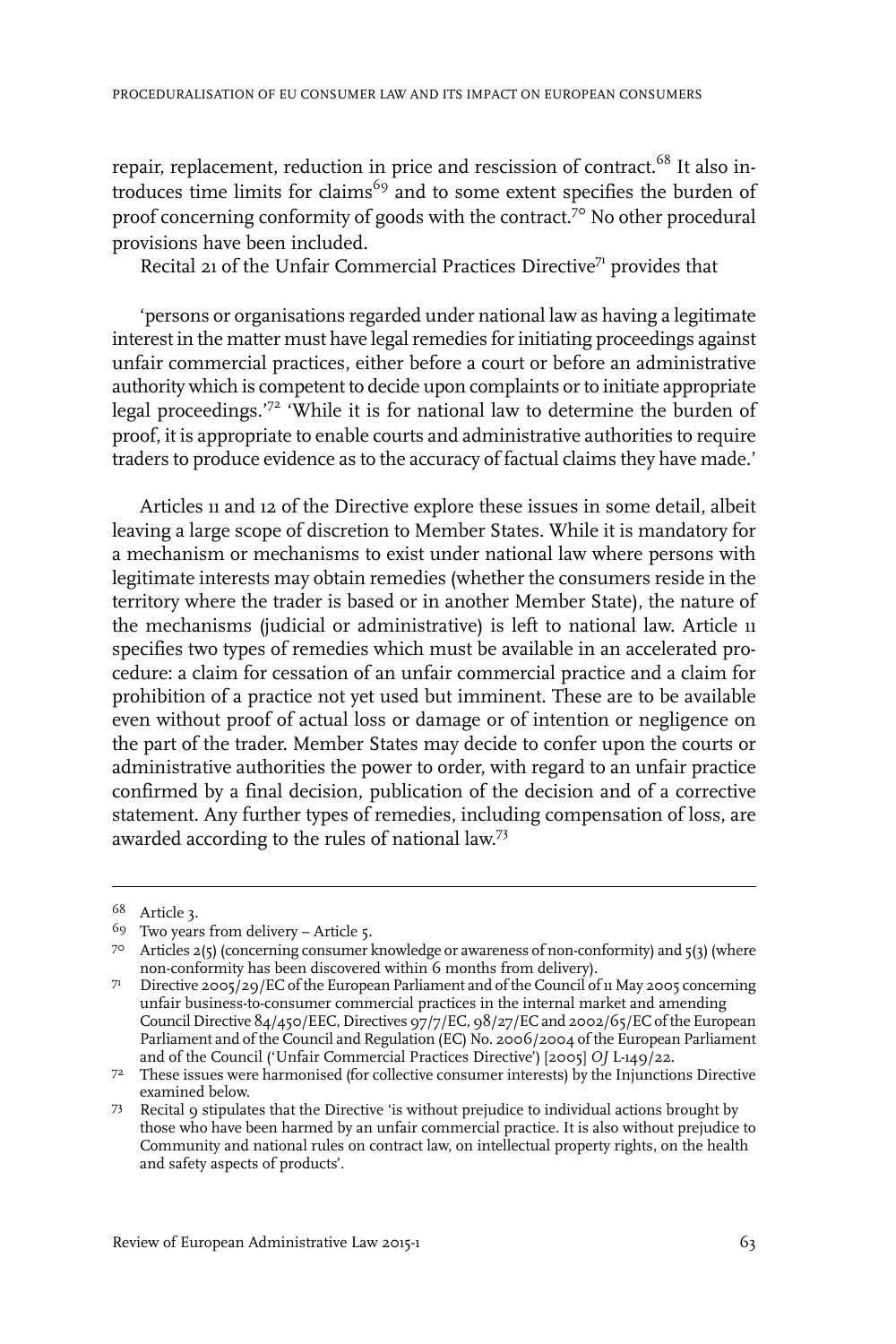repair, replacement, reduction in price and rescission of contract.<sup>68</sup> It also introduces time limits for claims<sup>69</sup> and to some extent specifies the burden of proof concerning conformity of goods with the contract.<sup>70</sup> No other procedural provisions have been included.

Recital 21 of the Unfair Commercial Practices Directive<sup>71</sup> provides that

'persons or organisations regarded under national law as having a legitimate interest in the matter must have legal remedies for initiating proceedings against unfair commercial practices, either before a court or before an administrative authority which is competent to decide upon complaints or to initiate appropriate legal proceedings.'<sup>72</sup> 'While it is for national law to determine the burden of proof, it is appropriate to enable courts and administrative authorities to require traders to produce evidence as to the accuracy of factual claims they have made.'

Articles 11 and 12 of the Directive explore these issues in some detail, albeit leaving a large scope of discretion to Member States. While it is mandatory for a mechanism or mechanisms to exist under national law where persons with legitimate interests may obtain remedies (whether the consumers reside in the territory where the trader is based or in another Member State), the nature of the mechanisms (judicial or administrative) is left to national law. Article 11 specifies two types of remedies which must be available in an accelerated procedure: a claim for cessation of an unfair commercial practice and a claim for prohibition of a practice not yet used but imminent. These are to be available even without proof of actual loss or damage or of intention or negligence on the part of the trader. Member States may decide to confer upon the courts or administrative authorities the power to order, with regard to an unfair practice confirmed by a final decision, publication of the decision and of a corrective statement. Any further types of remedies, including compensation of loss, are awarded according to the rules of national law.<sup>73</sup>

Article 3. <sup>68</sup>

 $69$  Two years from delivery – Article 5.

Articles 2(5) (concerning consumer knowledge or awareness of non-conformity) and 5(3) (where 70 non-conformity has been discovered within 6 months from delivery).

T<sup>1</sup> Directive 2005/29/EC of the European Parliament and of the Council of 11 May 2005 concerning unfair business-to-consumer commercial practices in the internal market and amending Council Directive 84/450/EEC, Directives 97/7/EC, 98/27/EC and 2002/65/EC of the European Parliament and of the Council and Regulation (EC) No. 2006/2004 of the European Parliament and of the Council ('Unfair Commercial Practices Directive') [2005] *OJ* L-149/22.

 $72$  These issues were harmonised (for collective consumer interests) by the Injunctions Directive examined below.

<sup>73</sup> Recital 9 stipulates that the Directive 'is without prejudice to individual actions brought by those who have been harmed by an unfair commercial practice.It is also without prejudice to Community and national rules on contract law, on intellectual property rights, on the health and safety aspects of products'.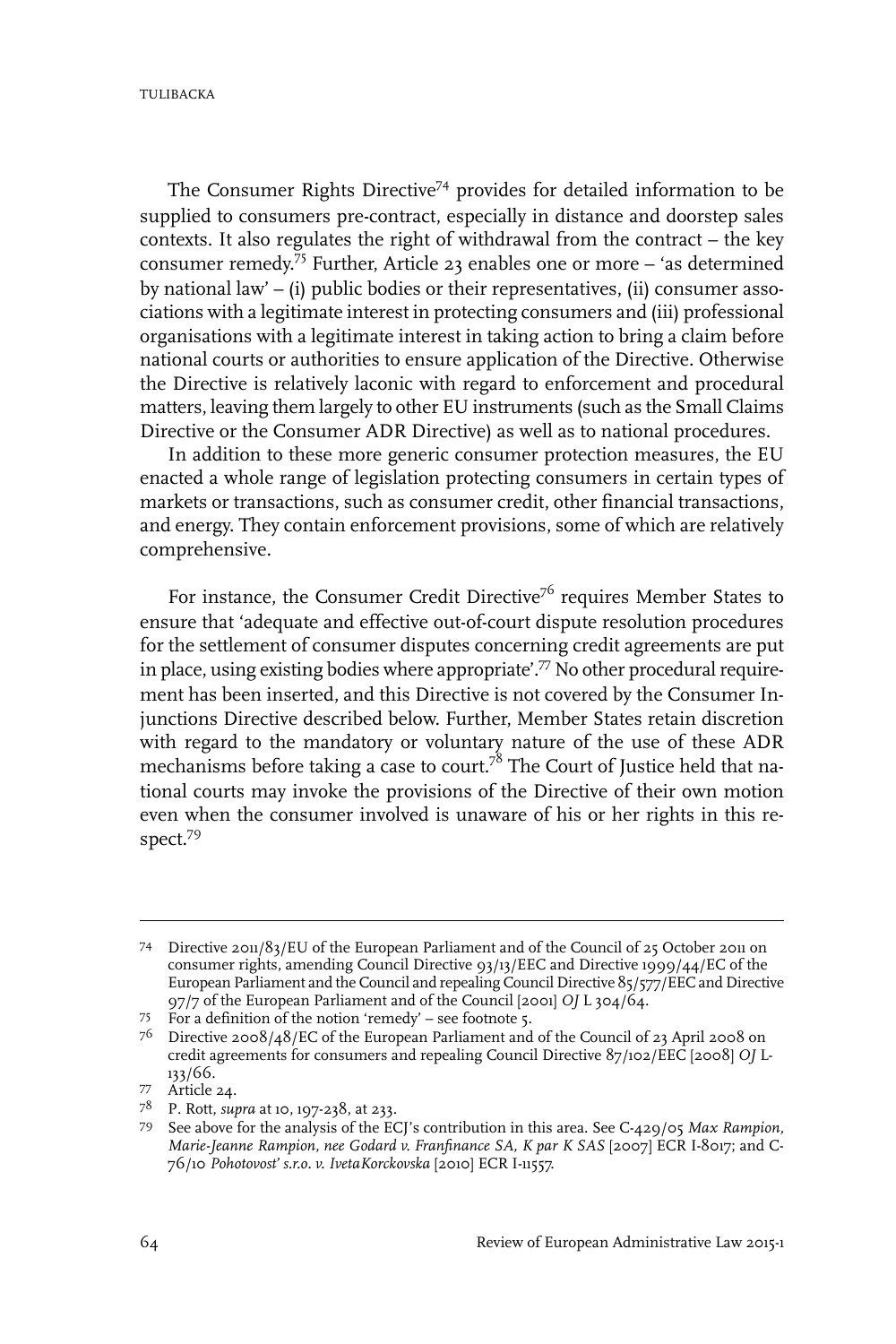**TULIBACKA** 

The Consumer Rights Directive<sup>74</sup> provides for detailed information to be supplied to consumers pre-contract, especially in distance and doorstep sales contexts. It also regulates the right of withdrawal from the contract – the key consumer remedy. <sup>75</sup> Further, Article 23 enables one or more – 'as determined by national law' – (i) public bodies or their representatives, (ii) consumer associations with a legitimate interest in protecting consumers and (iii) professional organisations with a legitimate interest in taking action to bring a claim before national courts or authorities to ensure application of the Directive. Otherwise the Directive is relatively laconic with regard to enforcement and procedural matters, leaving them largely to other EU instruments (such as the Small Claims Directive or the Consumer ADR Directive) as well as to national procedures.

In addition to these more generic consumer protection measures, the EU enacted a whole range of legislation protecting consumers in certain types of markets or transactions, such as consumer credit, other financial transactions, and energy. They contain enforcement provisions, some of which are relatively comprehensive.

For instance, the Consumer Credit Directive<sup>76</sup> requires Member States to ensure that 'adequate and effective out-of-court dispute resolution procedures for the settlement of consumer disputes concerning credit agreements are put in place, using existing bodies where appropriate'.<sup>77</sup> No other procedural requirement has been inserted, and this Directive is not covered by the Consumer Injunctions Directive described below. Further, Member States retain discretion with regard to the mandatory or voluntary nature of the use of these ADR mechanisms before taking a case to court.<sup>78</sup> The Court of Justice held that national courts may invoke the provisions of the Directive of their own motion even when the consumer involved is unaware of his or her rights in this respect.<sup>79</sup>

Directive 2011/83/EU of the European Parliament and of the Council of 25 October 2011 on 74 consumer rights, amending Council Directive 93/13/EEC and Directive 1999/44/EC of the European Parliament and the Council and repealing Council Directive 85/577/EEC and Directive 97/7 of the European Parliament and of the Council [2001] *OJ* L 304/64.

For a definition of the notion 'remedy' – see footnote 5. <sup>75</sup>

 $^{76}$  Directive 2008/48/EC of the European Parliament and of the Council of 23 April 2008 on credit agreements for consumers and repealing Council Directive 87/102/EEC [2008] *OJ* L-133/66.

Article 24. <sup>77</sup>

P. Rott, *supra* at 10, 197-238, at 233. <sup>78</sup>

See above for the analysis of the ECJ's contribution in this area. See C-429/05 *Max Rampion,* 79 *Marie-Jeanne Rampion, nee Godard v. Franfinance SA, K par K SAS* [2007] ECR I-8017; and C-76/10 *Pohotovost' s.r.o. v. IvetaKorckovska* [2010] ECR I-11557.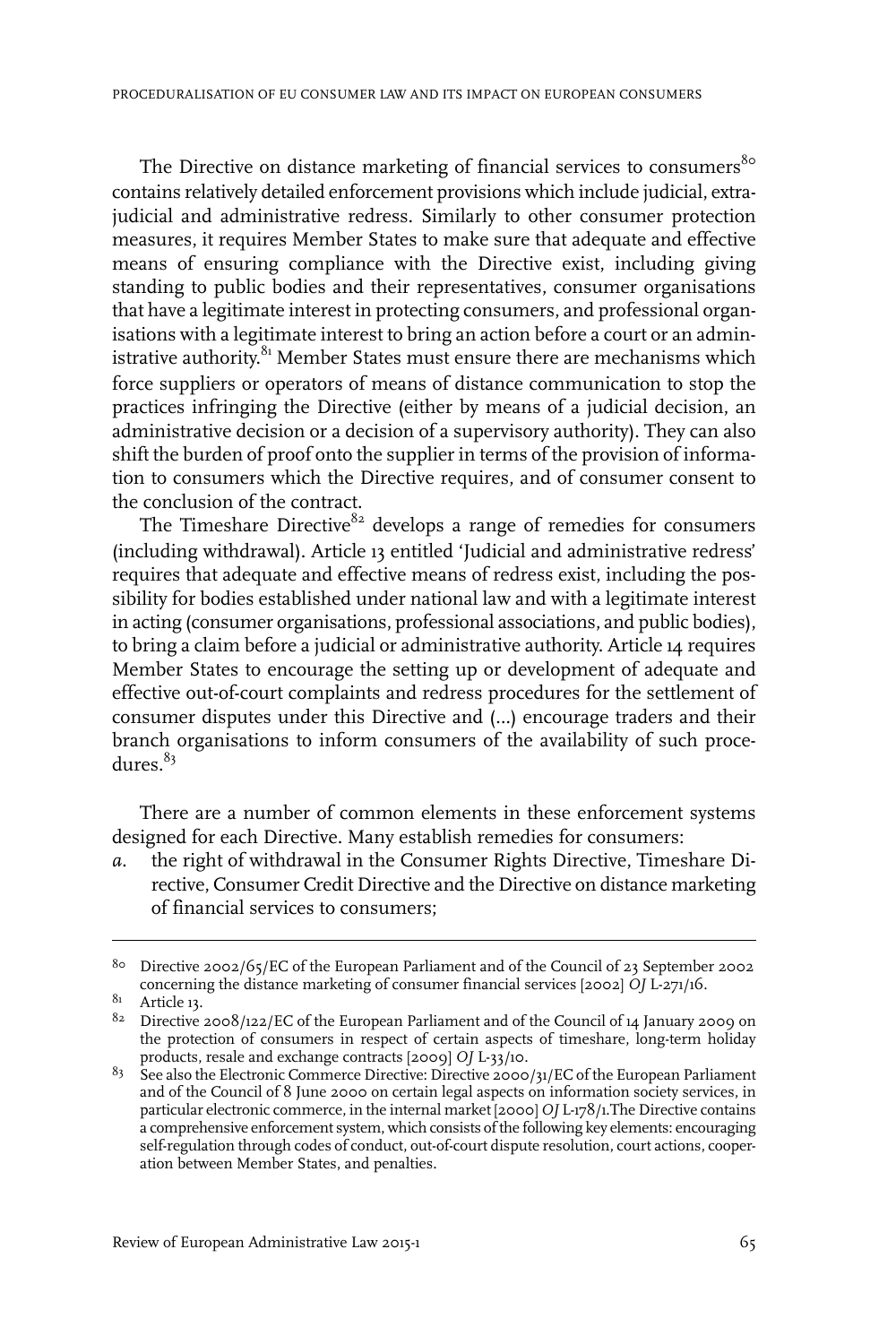The Directive on distance marketing of financial services to consumers<sup>80</sup> contains relatively detailed enforcement provisions which include judicial, extrajudicial and administrative redress. Similarly to other consumer protection measures, it requires Member States to make sure that adequate and effective means of ensuring compliance with the Directive exist, including giving standing to public bodies and their representatives, consumer organisations that have a legitimate interest in protecting consumers, and professional organisations with a legitimate interest to bring an action before a court or an administrative authority.<sup>81</sup> Member States must ensure there are mechanisms which force suppliers or operators of means of distance communication to stop the practices infringing the Directive (either by means of a judicial decision, an administrative decision or a decision of a supervisory authority). They can also shift the burden of proof onto the supplier in terms of the provision of information to consumers which the Directive requires, and of consumer consent to the conclusion of the contract.

The Timeshare Directive<sup>82</sup> develops a range of remedies for consumers (including withdrawal). Article 13 entitled 'Judicial and administrative redress' requires that adequate and effective means of redress exist, including the possibility for bodies established under national law and with a legitimate interest in acting (consumer organisations, professional associations, and public bodies), to bring a claim before a judicial or administrative authority. Article 14 requires Member States to encourage the setting up or development of adequate and effective out-of-court complaints and redress procedures for the settlement of consumer disputes under this Directive and (…) encourage traders and their branch organisations to inform consumers of the availability of such procedures. $83$ 

There are a number of common elements in these enforcement systems designed for each Directive. Many establish remedies for consumers:

*a.* the right of withdrawal in the Consumer Rights Directive, Timeshare Directive, Consumer Credit Directive and the Directive on distance marketing of financial services to consumers;

 $81$  Article 13.

 $^{8\circ}$  Directive 2002/65/EC of the European Parliament and of the Council of 23 September 2002 concerning the distance marketing of consumer financial services [2002] *OJ* L-271/16.

 $82$  Directive 2008/122/EC of the European Parliament and of the Council of 14 January 2009 on the protection of consumers in respect of certain aspects of timeshare, long-term holiday products, resale and exchange contracts [2009] *OJ* L-33/10.

 $^{83}$  See also the Electronic Commerce Directive: Directive 2000/31/EC of the European Parliament and of the Council of 8 June 2000 on certain legal aspects on information society services, in particular electronic commerce, in the internal market [2000] *OJ* L-178/1.The Directive contains a comprehensive enforcement system, which consists of the following key elements: encouraging self-regulation through codes of conduct, out-of-court dispute resolution, court actions, cooperation between Member States, and penalties.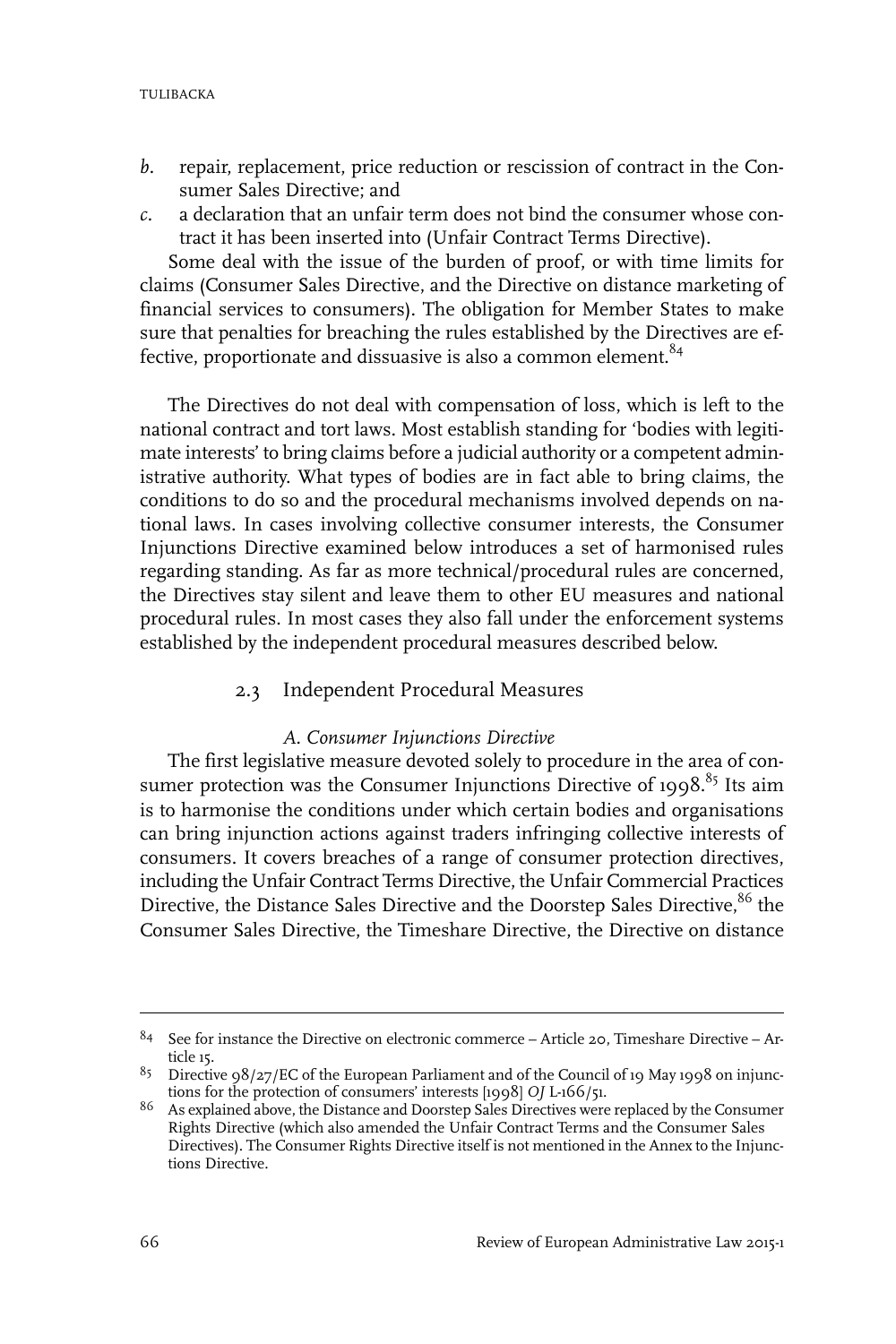- *b.* repair, replacement, price reduction or rescission of contract in the Consumer Sales Directive; and
- *c.* a declaration that an unfair term does not bind the consumer whose contract it has been inserted into (Unfair Contract Terms Directive).

Some deal with the issue of the burden of proof, or with time limits for claims (Consumer Sales Directive, and the Directive on distance marketing of financial services to consumers). The obligation for Member States to make sure that penalties for breaching the rules established by the Directives are effective, proportionate and dissuasive is also a common element.<sup>84</sup>

The Directives do not deal with compensation of loss, which is left to the national contract and tort laws. Most establish standing for 'bodies with legitimate interests' to bring claims before a judicial authority or a competent administrative authority. What types of bodies are in fact able to bring claims, the conditions to do so and the procedural mechanisms involved depends on national laws. In cases involving collective consumer interests, the Consumer Injunctions Directive examined below introduces a set of harmonised rules regarding standing. As far as more technical/procedural rules are concerned, the Directives stay silent and leave them to other EU measures and national procedural rules. In most cases they also fall under the enforcement systems established by the independent procedural measures described below.

#### 2.3 Independent Procedural Measures

#### *A. Consumer Injunctions Directive*

The first legislative measure devoted solely to procedure in the area of consumer protection was the Consumer Injunctions Directive of 1998.<sup>85</sup> Its aim is to harmonise the conditions under which certain bodies and organisations can bring injunction actions against traders infringing collective interests of consumers. It covers breaches of a range of consumer protection directives, including the Unfair Contract Terms Directive, the Unfair Commercial Practices Directive, the Distance Sales Directive and the Doorstep Sales Directive,<sup>86</sup> the Consumer Sales Directive, the Timeshare Directive, the Directive on distance

<sup>&</sup>lt;sup>84</sup> See for instance the Directive on electronic commerce – Article 20, Timeshare Directive – Article 15.

<sup>&</sup>lt;sup>85</sup> Directive 98/27/EC of the European Parliament and of the Council of 19 May 1998 on injunctions for the protection of consumers' interests [1998] *OJ* L-166/51.

<sup>&</sup>lt;sup>86</sup> As explained above, the Distance and Doorstep Sales Directives were replaced by the Consumer Rights Directive (which also amended the Unfair Contract Terms and the Consumer Sales Directives). The Consumer Rights Directive itself is not mentioned in the Annex to the Injunctions Directive.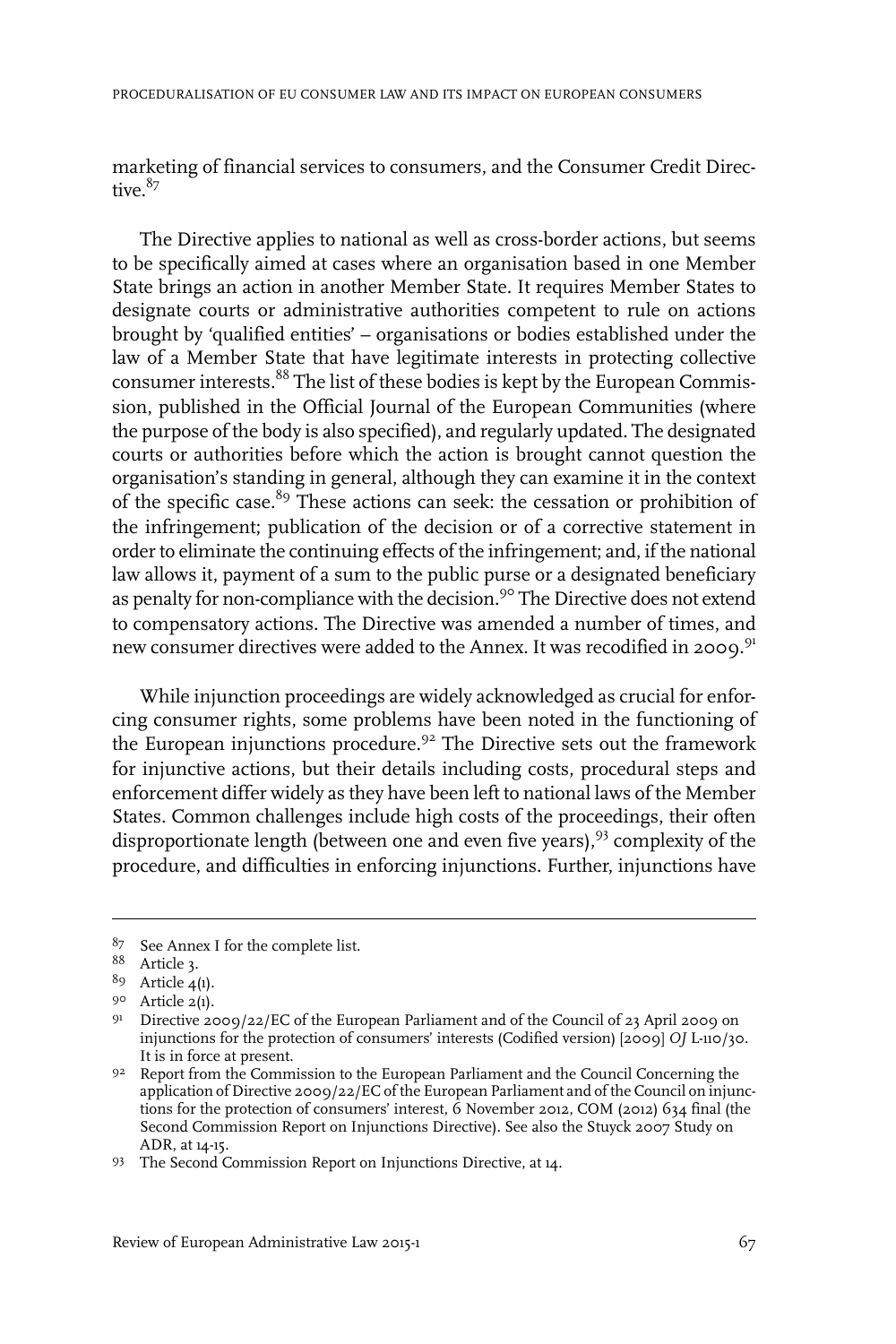marketing of financial services to consumers, and the Consumer Credit Directive  $87$ 

The Directive applies to national as well as cross-border actions, but seems to be specifically aimed at cases where an organisation based in one Member State brings an action in another Member State. It requires Member States to designate courts or administrative authorities competent to rule on actions brought by 'qualified entities' – organisations or bodies established under the law of a Member State that have legitimate interests in protecting collective consumer interests.<sup>88</sup> The list of these bodies is kept by the European Commission, published in the Official Journal of the European Communities (where the purpose of the body is also specified), and regularly updated. The designated courts or authorities before which the action is brought cannot question the organisation's standing in general, although they can examine it in the context of the specific case.<sup>89</sup> These actions can seek: the cessation or prohibition of the infringement; publication of the decision or of a corrective statement in order to eliminate the continuing effects of the infringement; and, if the national law allows it, payment of a sum to the public purse or a designated beneficiary as penalty for non-compliance with the decision.<sup>90</sup> The Directive does not extend to compensatory actions. The Directive was amended a number of times, and new consumer directives were added to the Annex. It was recodified in 2009.<sup>91</sup>

While injunction proceedings are widely acknowledged as crucial for enforcing consumer rights, some problems have been noted in the functioning of the European injunctions procedure.<sup>92</sup> The Directive sets out the framework for injunctive actions, but their details including costs, procedural steps and enforcement differ widely as they have been left to national laws of the Member States. Common challenges include high costs of the proceedings, their often disproportionate length (between one and even five years),<sup>93</sup> complexity of the procedure, and difficulties in enforcing injunctions. Further, injunctions have

<sup>87</sup> See Annex I for the complete list.

Article 3. <sup>88</sup>

 $89$  Article  $4(1)$ .

<sup>90</sup> Article 2(1).

<sup>&</sup>lt;sup>91</sup> Directive 2009/22/EC of the European Parliament and of the Council of 23 April 2009 on injunctions for the protection of consumers' interests (Codified version) [2009] *OJ* L-110/30. It is in force at present.

 $92$  Report from the Commission to the European Parliament and the Council Concerning the application of Directive 2009/22/EC of the European Parliament and of the Council on injunctions for the protection of consumers' interest,  $\dot{6}$  November 2012, COM (2012) 634 final (the Second Commission Report on Injunctions Directive). See also the Stuyck 2007 Study on ADR, at 14-15.

<sup>93</sup> The Second Commission Report on Injunctions Directive, at 14.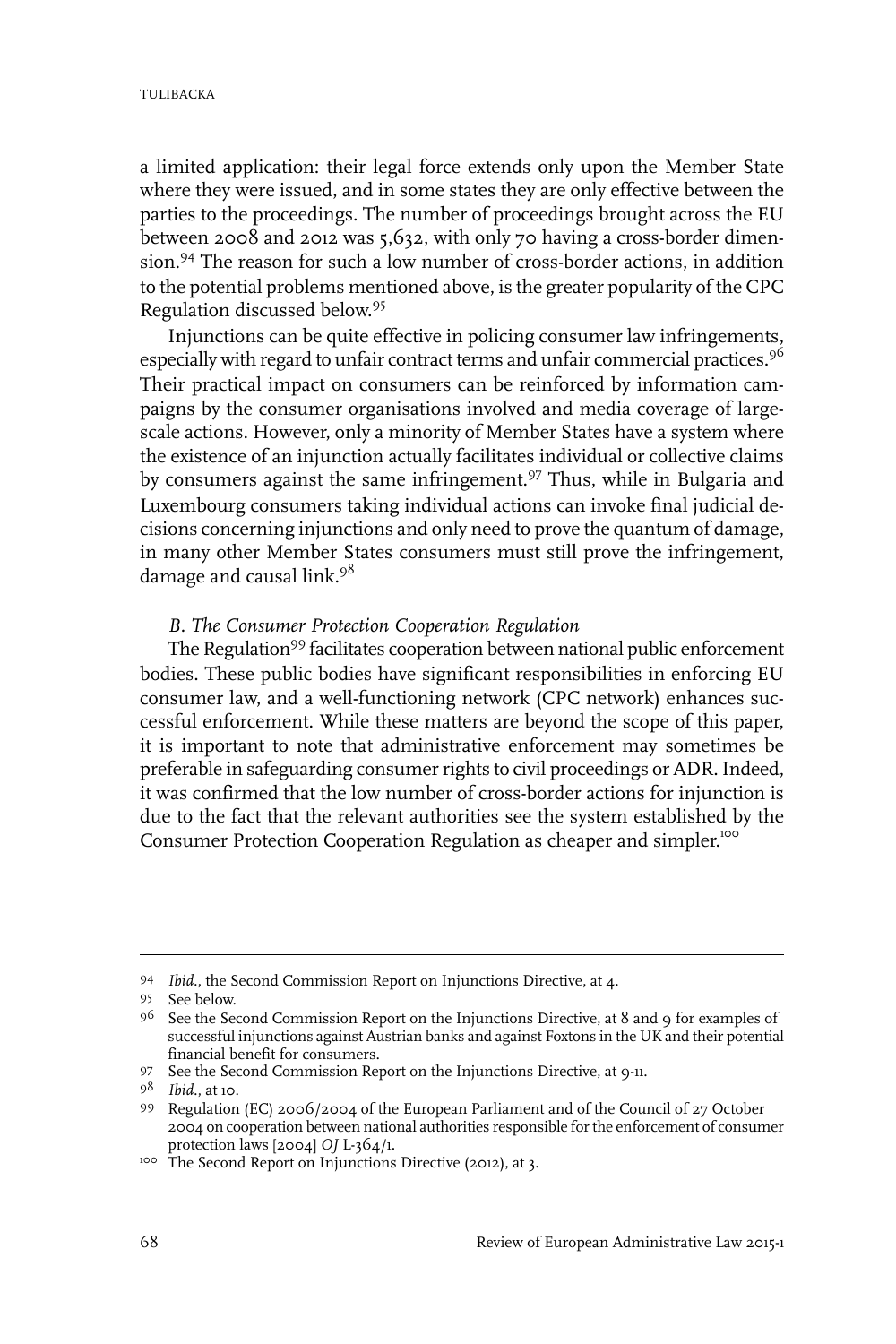a limited application: their legal force extends only upon the Member State where they were issued, and in some states they are only effective between the parties to the proceedings. The number of proceedings brought across the EU between 2008 and 2012 was 5,632, with only 70 having a cross-border dimension.<sup>94</sup> The reason for such a low number of cross-border actions, in addition to the potential problems mentioned above, is the greater popularity of the CPC Regulation discussed below. 95

Injunctions can be quite effective in policing consumer law infringements, especially with regard to unfair contract terms and unfair commercial practices.<sup>96</sup> Their practical impact on consumers can be reinforced by information campaigns by the consumer organisations involved and media coverage of largescale actions. However, only a minority of Member States have a system where the existence of an injunction actually facilitates individual or collective claims by consumers against the same infringement.<sup>97</sup> Thus, while in Bulgaria and Luxembourg consumers taking individual actions can invoke final judicial decisions concerning injunctions and only need to prove the quantum of damage, in many other Member States consumers must still prove the infringement, damage and causal link.<sup>98</sup>

#### *B. The Consumer Protection Cooperation Regulation*

The Regulation<sup>99</sup> facilitates cooperation between national public enforcement bodies. These public bodies have significant responsibilities in enforcing EU consumer law, and a well-functioning network (CPC network) enhances successful enforcement. While these matters are beyond the scope of this paper, it is important to note that administrative enforcement may sometimes be preferable in safeguarding consumer rights to civil proceedings or ADR. Indeed, it was confirmed that the low number of cross-border actions for injunction is due to the fact that the relevant authorities see the system established by the Consumer Protection Cooperation Regulation as cheaper and simpler.<sup>100</sup>

<sup>&</sup>lt;sup>94</sup> *Ibid.*, the Second Commission Report on Injunctions Directive, at 4.

<sup>95</sup> See below.

<sup>&</sup>lt;sup>96</sup> See the Second Commission Report on the Injunctions Directive, at 8 and 9 for examples of successful injunctions against Austrian banks and against Foxtons in the UK and their potential financial benefit for consumers.

<sup>97</sup> See the Second Commission Report on the Injunctions Directive, at 9-11.

*Ibid.*, at 10. <sup>98</sup>

<sup>99</sup> Regulation (EC) 2006/2004 of the European Parliament and of the Council of 27 October 2004 on cooperation between national authorities responsible forthe enforcement of consumer protection laws [2004] *OJ* L-364/1.

<sup>100</sup> The Second Report on Injunctions Directive (2012), at 3.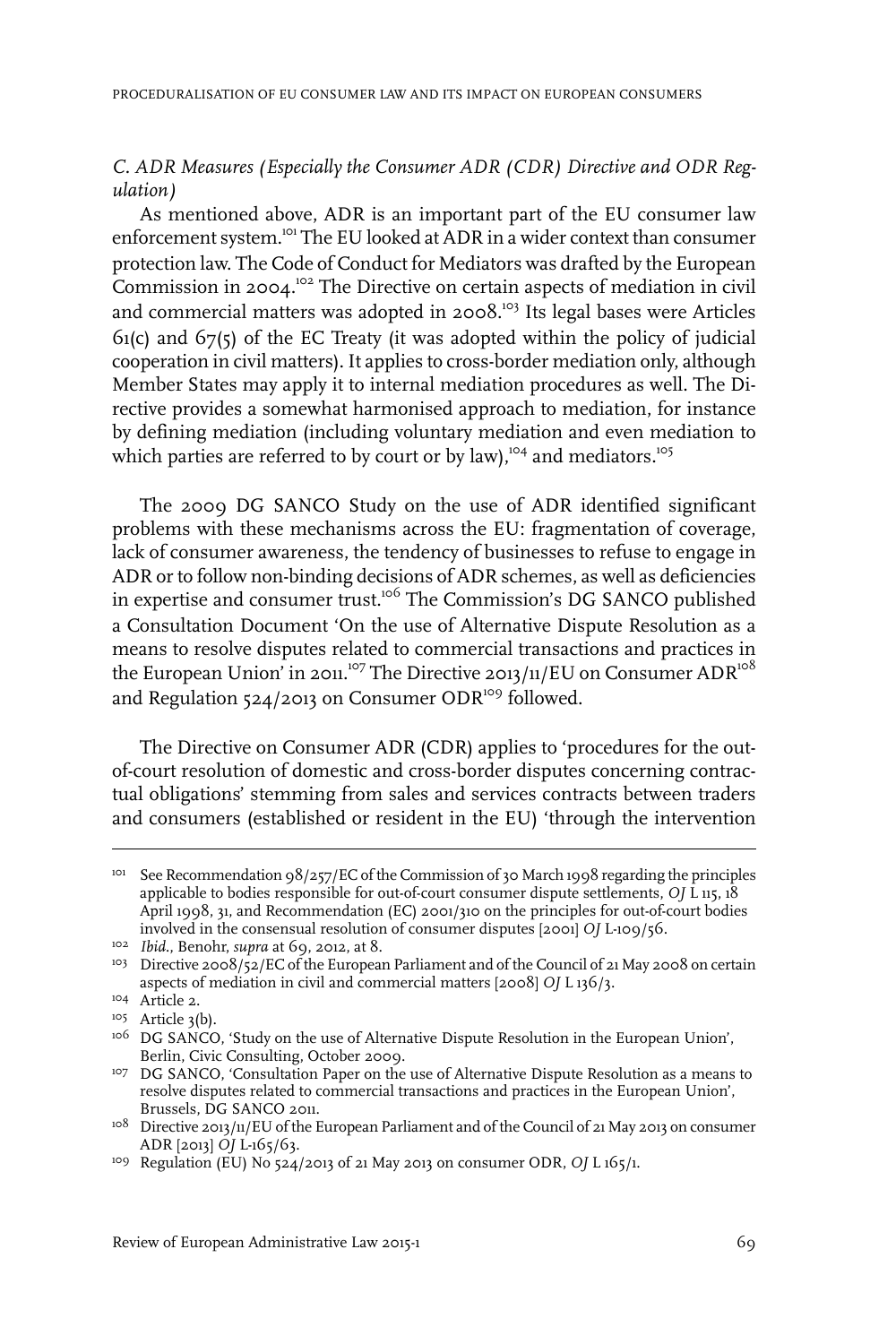#### *C. ADR Measures (Especially the Consumer ADR (CDR) Directive and ODR Regulation)*

As mentioned above, ADR is an important part of the EU consumer law enforcement system.<sup>101</sup> The EU looked at ADR in a wider context than consumer protection law. The Code of Conduct for Mediators was drafted by the European Commission in 2004.<sup>102</sup> The Directive on certain aspects of mediation in civil and commercial matters was adopted in 2008.<sup>103</sup> Its legal bases were Articles 61(c) and 67(5) of the EC Treaty (it was adopted within the policy of judicial cooperation in civil matters). It applies to cross-border mediation only, although Member States may apply it to internal mediation procedures as well. The Directive provides a somewhat harmonised approach to mediation, for instance by defining mediation (including voluntary mediation and even mediation to which parties are referred to by court or by law), $104$  and mediators.<sup>105</sup>

The 2009 DG SANCO Study on the use of ADR identified significant problems with these mechanisms across the EU: fragmentation of coverage, lack of consumer awareness, the tendency of businesses to refuse to engage in ADR or to follow non-binding decisions of ADR schemes, as well as deficiencies in expertise and consumer trust.<sup>106</sup> The Commission's DG SANCO published a Consultation Document 'On the use of Alternative Dispute Resolution as a means to resolve disputes related to commercial transactions and practices in the European Union' in 2011.<sup>107</sup> The Directive 2013/11/EU on Consumer ADR<sup>108</sup> and Regulation 524/2013 on Consumer ODR<sup>109</sup> followed.

The Directive on Consumer ADR (CDR) applies to 'procedures for the outof-court resolution of domestic and cross-border disputes concerning contractual obligations' stemming from sales and services contracts between traders and consumers (established or resident in the EU) 'through the intervention

<sup>&</sup>lt;sup>101</sup> See Recommendation 98/257/EC of the Commission of 30 March 1998 regarding the principles applicable to bodies responsible for out-of-court consumer dispute settlements, *OJ* L 115, 18 April 1998, 31, and Recommendation (EC) 2001/310 on the principles for out-of-court bodies involved in the consensual resolution of consumer disputes [2001] *OJ* L-109/56.

<sup>&</sup>lt;sup>102</sup> *Ibid.*, Benohr, *supra* at 69, 2012, at 8.

<sup>&</sup>lt;sup>103</sup> Directive 2008/52/EC of the European Parliament and of the Council of 21 May 2008 on certain aspects of mediation in civil and commercial matters [2008] *OJ* L 136/3.

<sup>&</sup>lt;sup>104</sup> Article 2.

 $105$  Article 3(b).

<sup>&</sup>lt;sup>106</sup> DG SANCO, 'Study on the use of Alternative Dispute Resolution in the European Union', Berlin, Civic Consulting, October 2009.

<sup>&</sup>lt;sup>107</sup> DG SANCO, 'Consultation Paper on the use of Alternative Dispute Resolution as a means to resolve disputes related to commercial transactions and practices in the European Union', Brussels, DG SANCO 2011.

 $108$  Directive 2013/11/EU of the European Parliament and of the Council of 21 May 2013 on consumer ADR [2013] *OJ* L-165/63.

<sup>&</sup>lt;sup>109</sup> Regulation (EU) No 524/2013 of 21 May 2013 on consumer ODR, OJ L 165/1.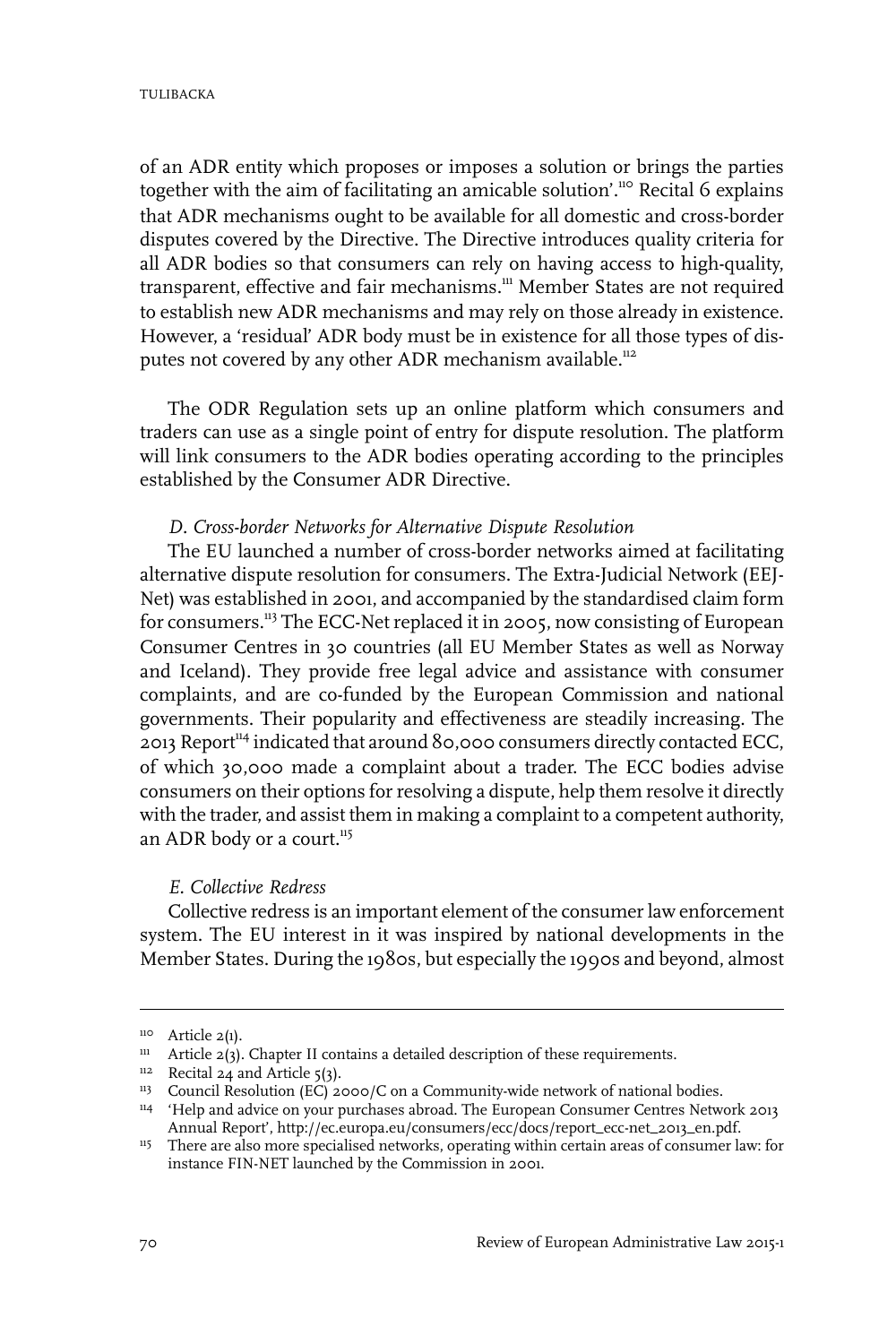of an ADR entity which proposes or imposes a solution or brings the parties together with the aim of facilitating an amicable solution'.<sup>110</sup> Recital 6 explains that ADR mechanisms ought to be available for all domestic and cross-border disputes covered by the Directive. The Directive introduces quality criteria for all ADR bodies so that consumers can rely on having access to high-quality, transparent, effective and fair mechanisms.<sup>111</sup> Member States are not required to establish new ADR mechanisms and may rely on those already in existence. However, a 'residual' ADR body must be in existence for all those types of disputes not covered by any other ADR mechanism available.<sup>112</sup>

The ODR Regulation sets up an online platform which consumers and traders can use as a single point of entry for dispute resolution. The platform will link consumers to the ADR bodies operating according to the principles established by the Consumer ADR Directive.

#### *D. Cross-border Networks for Alternative Dispute Resolution*

The EU launched a number of cross-border networks aimed at facilitating alternative dispute resolution for consumers. The Extra-Judicial Network (EEJ-Net) was established in 2001, and accompanied by the standardised claim form for consumers.<sup>113</sup> The ECC-Net replaced it in 2005, now consisting of European Consumer Centres in 30 countries (all EU Member States as well as Norway and Iceland). They provide free legal advice and assistance with consumer complaints, and are co-funded by the European Commission and national governments. Their popularity and effectiveness are steadily increasing. The 2013 Report<sup>114</sup> indicated that around 80,000 consumers directly contacted ECC, of which 30,000 made a complaint about a trader. The ECC bodies advise consumers on their options forresolving a dispute, help them resolve it directly with the trader, and assist them in making a complaint to a competent authority, an ADR body or a court.<sup>115</sup>

#### *E. Collective Redress*

Collective redress is an important element of the consumer law enforcement system. The EU interest in it was inspired by national developments in the Member States. During the 1980s, but especially the 1990s and beyond, almost

 $110$  Article 2(1).

 $111$  Article 2(3). Chapter II contains a detailed description of these requirements.

 $112$  Recital 24 and Article 5(3).

<sup>&</sup>lt;sup>113</sup> Council Resolution (EC) 2000/C on a Community-wide network of national bodies.

<sup>&</sup>lt;sup>114</sup> 'Help and advice on your purchases abroad. The European Consumer Centres Network 2013 Annual Report', http://ec.europa.eu/consumers/ecc/docs/report\_ecc-net\_2013\_en.pdf.

<sup>&</sup>lt;sup>115</sup> There are also more specialised networks, operating within certain areas of consumer law: for instance FIN-NET launched by the Commission in 2001.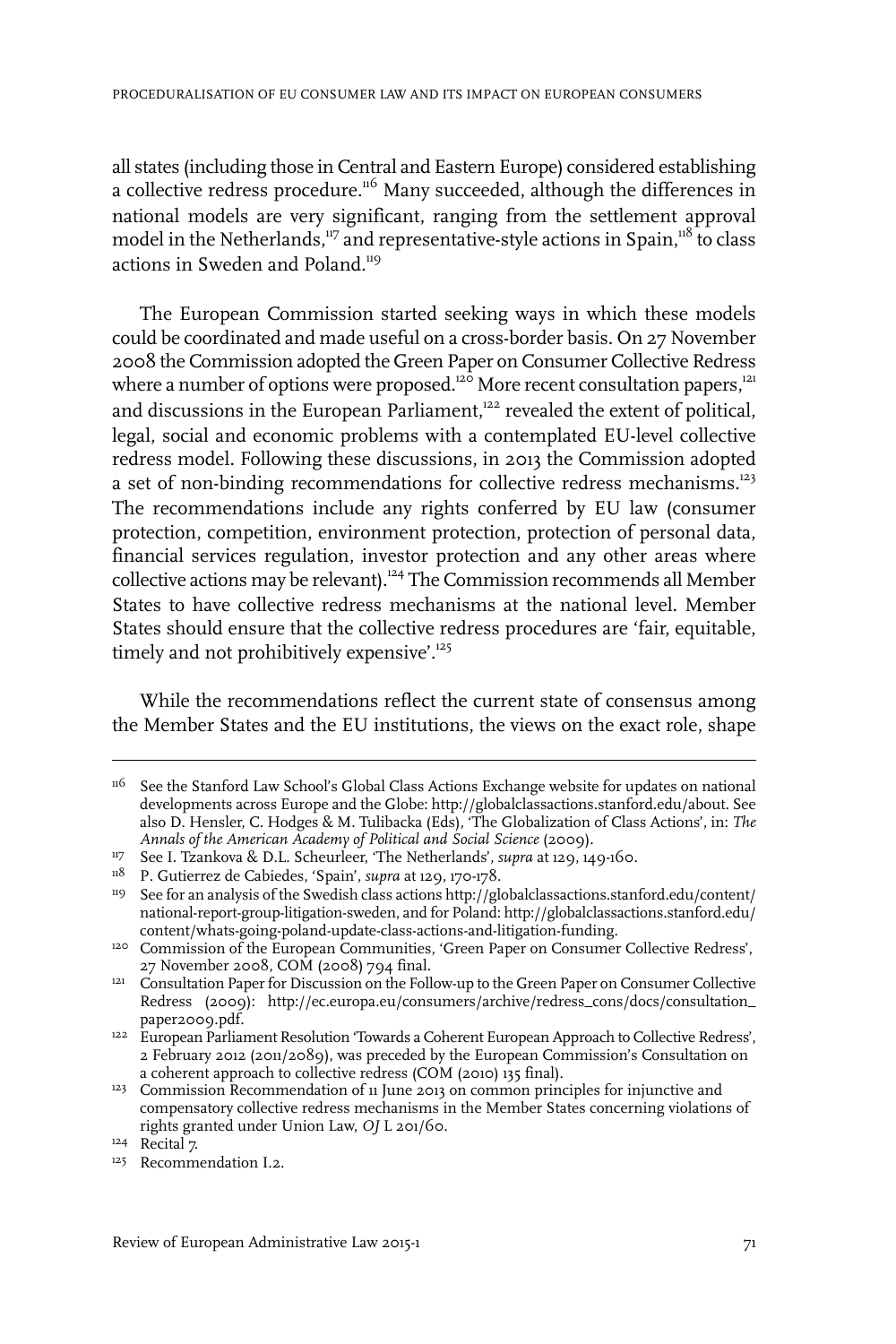all states (including those in Central and Eastern Europe) considered establishing a collective redress procedure.<sup>116</sup> Many succeeded, although the differences in national models are very significant, ranging from the settlement approval model in the Netherlands, $117$  and representative-style actions in Spain, $118$  to class actions in Sweden and Poland.<sup>119</sup>

The European Commission started seeking ways in which these models could be coordinated and made useful on a cross-border basis. On 27 November 2008 the Commission adopted the Green Paper on Consumer Collective Redress where a number of options were proposed.<sup>120</sup> More recent consultation papers,<sup>121</sup> and discussions in the European Parliament,<sup>122</sup> revealed the extent of political, legal, social and economic problems with a contemplated EU-level collective redress model. Following these discussions, in 2013 the Commission adopted a set of non-binding recommendations for collective redress mechanisms.<sup>123</sup> The recommendations include any rights conferred by EU law (consumer protection, competition, environment protection, protection of personal data, financial services regulation, investor protection and any other areas where collective actions may be relevant).<sup>124</sup> The Commission recommends all Member States to have collective redress mechanisms at the national level. Member States should ensure that the collective redress procedures are 'fair, equitable, timely and not prohibitively expensive<sup>'.125</sup>

While the recommendations reflect the current state of consensus among the Member States and the EU institutions, the views on the exact role, shape

See the Stanford Law School's Global Class Actions Exchange website for updates on national developments across Europe and the Globe: http://globalclassactions.stanford.edu/about. See 116 also D. Hensler, C. Hodges & M. Tulibacka (Eds), 'The Globalization of Class Actions', in: *The Annals of the American Academy of Political and Social Science* (2009).

<sup>&</sup>lt;sup>117</sup> See I. Tzankova & D.L. Scheurleer, 'The Netherlands', *supra* at 129, 149-160.

<sup>&</sup>lt;sup>118</sup> P. Gutierrez de Cabiedes, 'Spain', *supra* at 129, 170-178.

<sup>&</sup>lt;sup>119</sup> See for an analysis of the Swedish class actions http://globalclassactions.stanford.edu/content/ national-report-group-litigation-sweden, and for Poland: http://globalclassactions.stanford.edu/ content/whats-going-poland-update-class-actions-and-litigation-funding.

<sup>&</sup>lt;sup>120</sup> Commission of the European Communities, 'Green Paper on Consumer Collective Redress', 27 November 2008, COM (2008) 794 final.

<sup>&</sup>lt;sup>121</sup> Consultation Paper for Discussion on the Follow-up to the Green Paper on Consumer Collective Redress (2009): http://ec.europa.eu/consumers/archive/redress\_cons/docs/consultation\_ paper2009.pdf.

<sup>&</sup>lt;sup>122</sup> European Parliament Resolution 'Towards a Coherent European Approach to Collective Redress', 2 February 2012 (2011/2089), was preceded by the European Commission's Consultation on a coherent approach to collective redress (COM (2010) 135 final).

<sup>&</sup>lt;sup>123</sup> Commission Recommendation of 11 June 2013 on common principles for injunctive and compensatory collective redress mechanisms in the Member States concerning violations of rights granted under Union Law, *OJ* L 201/60.

<sup>&</sup>lt;sup>124</sup> Recital 7.

<sup>&</sup>lt;sup>125</sup> Recommendation I.2.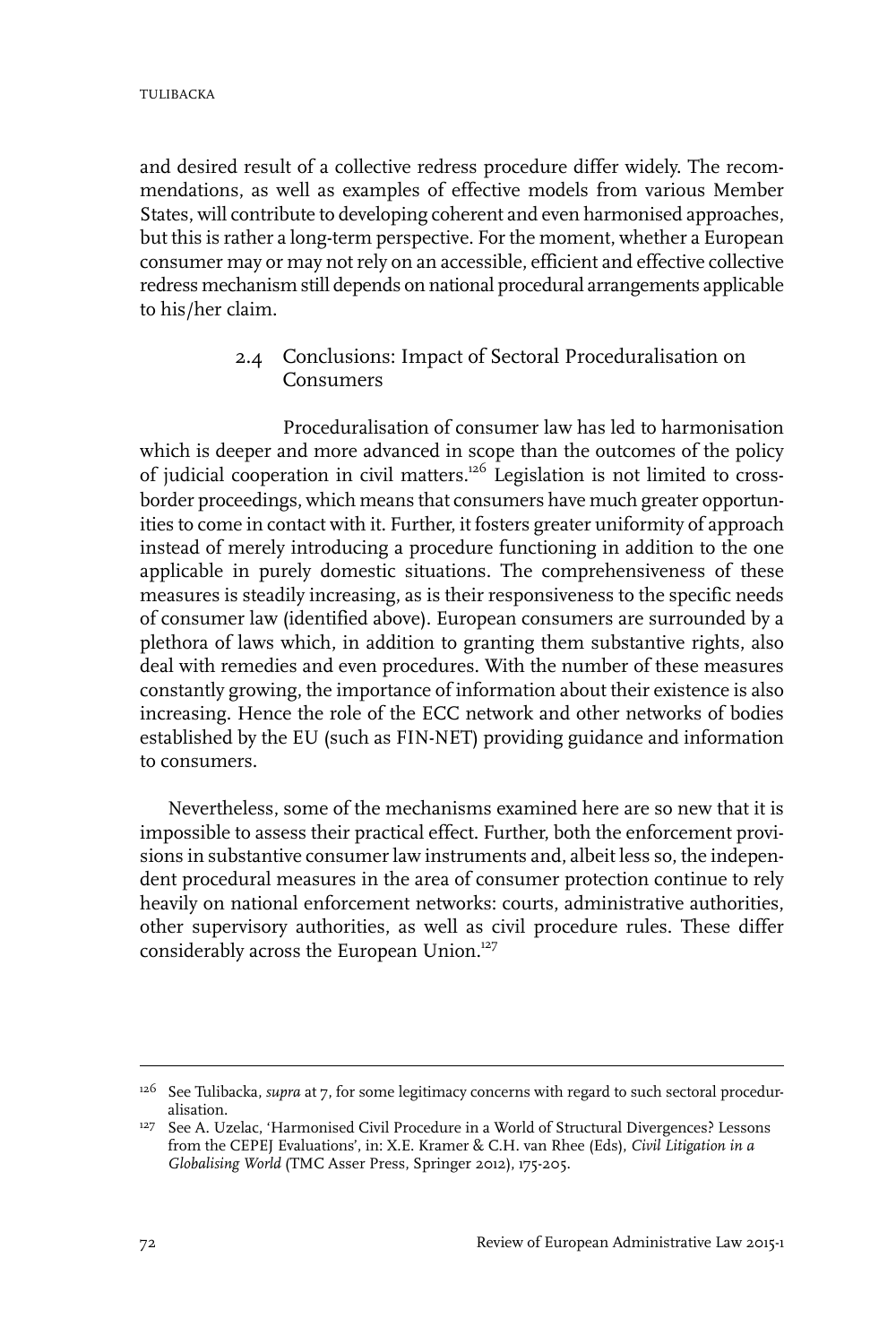and desired result of a collective redress procedure differ widely. The recommendations, as well as examples of effective models from various Member States, will contribute to developing coherent and even harmonised approaches, but this is rather a long-term perspective. For the moment, whether a European consumer may or may not rely on an accessible, efficient and effective collective redress mechanism still depends on national procedural arrangements applicable to his/her claim.

### 2.4 Conclusions: Impact of Sectoral Proceduralisation on Consumers

Proceduralisation of consumer law has led to harmonisation which is deeper and more advanced in scope than the outcomes of the policy of judicial cooperation in civil matters.<sup>126</sup> Legislation is not limited to crossborder proceedings, which means that consumers have much greater opportunities to come in contact with it. Further, it fosters greater uniformity of approach instead of merely introducing a procedure functioning in addition to the one applicable in purely domestic situations. The comprehensiveness of these measures is steadily increasing, as is their responsiveness to the specific needs of consumer law (identified above). European consumers are surrounded by a plethora of laws which, in addition to granting them substantive rights, also deal with remedies and even procedures. With the number of these measures constantly growing, the importance of information about their existence is also increasing. Hence the role of the ECC network and other networks of bodies established by the EU (such as FIN-NET) providing guidance and information to consumers.

Nevertheless, some of the mechanisms examined here are so new that it is impossible to assess their practical effect. Further, both the enforcement provisions in substantive consumerlaw instruments and, albeit less so, the independent procedural measures in the area of consumer protection continue to rely heavily on national enforcement networks: courts, administrative authorities, other supervisory authorities, as well as civil procedure rules. These differ considerably across the European Union.<sup>127</sup>

<sup>&</sup>lt;sup>126</sup> See Tulibacka, *supra* at 7, for some legitimacy concerns with regard to such sectoral proceduralisation.

<sup>&</sup>lt;sup>127</sup> See A. Uzelac, 'Harmonised Civil Procedure in a World of Structural Divergences? Lessons from the CEPEJ Evaluations', in: X.E. Kramer & C.H. van Rhee (Eds), *Civil Litigation in a Globalising World* (TMC Asser Press, Springer 2012), 175-205.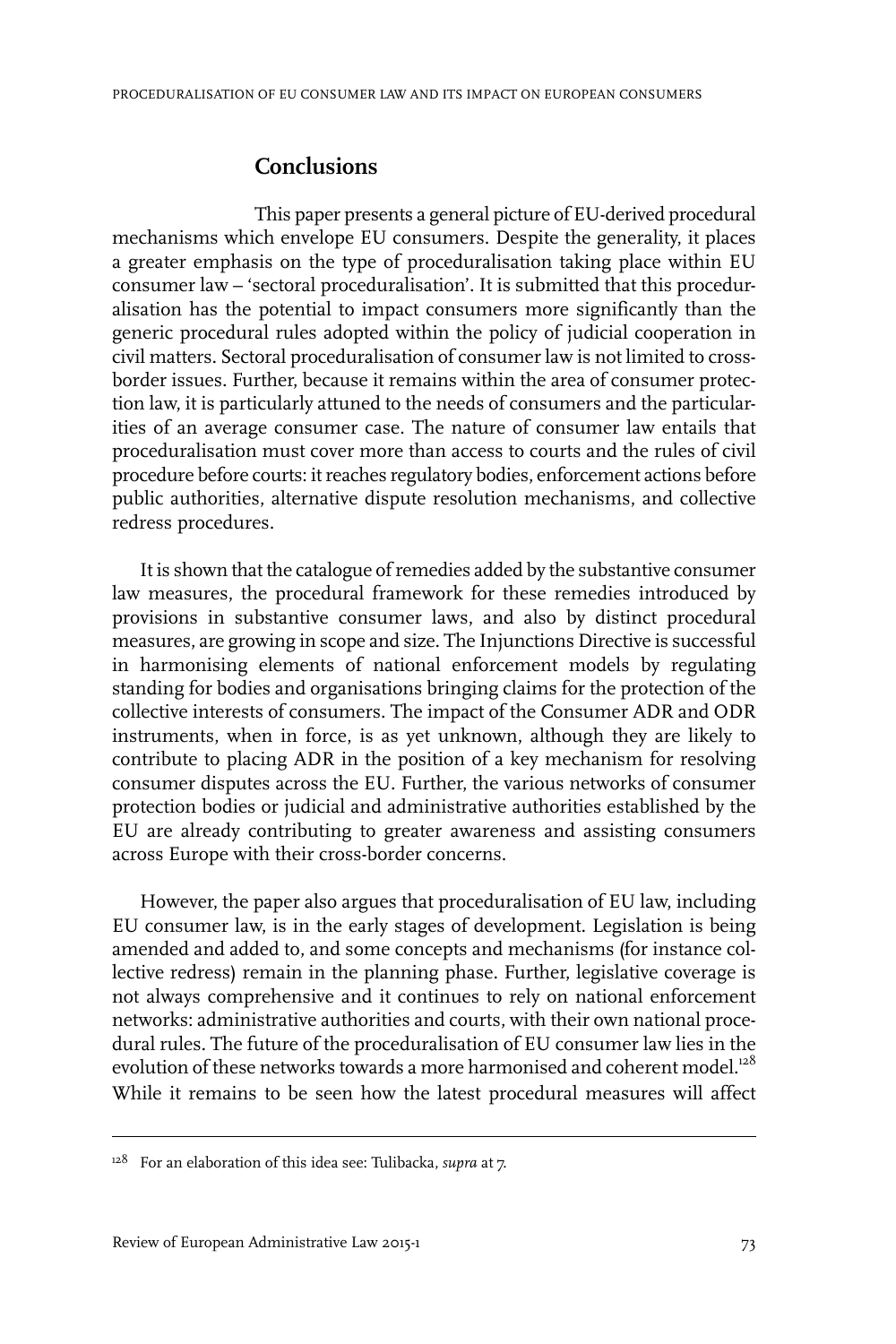# **Conclusions**

This paper presents a general picture of EU-derived procedural mechanisms which envelope EU consumers. Despite the generality, it places a greater emphasis on the type of proceduralisation taking place within EU consumer law – 'sectoral proceduralisation'. It is submitted that this proceduralisation has the potential to impact consumers more significantly than the generic procedural rules adopted within the policy of judicial cooperation in civil matters. Sectoral proceduralisation of consumer law is not limited to crossborder issues. Further, because it remains within the area of consumer protection law, it is particularly attuned to the needs of consumers and the particularities of an average consumer case. The nature of consumer law entails that proceduralisation must cover more than access to courts and the rules of civil procedure before courts: it reaches regulatory bodies, enforcement actions before public authorities, alternative dispute resolution mechanisms, and collective redress procedures.

It is shown that the catalogue of remedies added by the substantive consumer law measures, the procedural framework for these remedies introduced by provisions in substantive consumer laws, and also by distinct procedural measures, are growing in scope and size. The Injunctions Directive is successful in harmonising elements of national enforcement models by regulating standing for bodies and organisations bringing claims for the protection of the collective interests of consumers. The impact of the Consumer ADR and ODR instruments, when in force, is as yet unknown, although they are likely to contribute to placing ADR in the position of a key mechanism for resolving consumer disputes across the EU. Further, the various networks of consumer protection bodies or judicial and administrative authorities established by the EU are already contributing to greater awareness and assisting consumers across Europe with their cross-border concerns.

However, the paper also argues that proceduralisation of EU law, including EU consumer law, is in the early stages of development. Legislation is being amended and added to, and some concepts and mechanisms (for instance collective redress) remain in the planning phase. Further, legislative coverage is not always comprehensive and it continues to rely on national enforcement networks: administrative authorities and courts, with their own national procedural rules. The future of the proceduralisation of EU consumer law lies in the evolution of these networks towards a more harmonised and coherent model.<sup>128</sup> While it remains to be seen how the latest procedural measures will affect

For an elaboration of this idea see: Tulibacka, *supra* at 7. 128